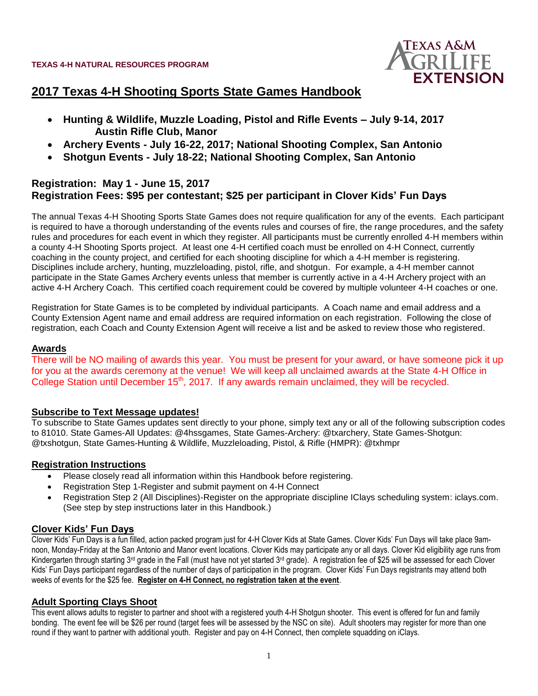

#### **2017 Texas 4-H Shooting Sports State Games Handbook**

- **Hunting & Wildlife, Muzzle Loading, Pistol and Rifle Events – July 9-14, 2017 Austin Rifle Club, Manor**
- **Archery Events - July 16-22, 2017; National Shooting Complex, San Antonio**
- **Shotgun Events - July 18-22; National Shooting Complex, San Antonio**

#### **Registration: May 1 - June 15, 2017 Registration Fees: \$95 per contestant; \$25 per participant in Clover Kids' Fun Days**

The annual Texas 4-H Shooting Sports State Games does not require qualification for any of the events. Each participant is required to have a thorough understanding of the events rules and courses of fire, the range procedures, and the safety rules and procedures for each event in which they register. All participants must be currently enrolled 4-H members within a county 4-H Shooting Sports project. At least one 4-H certified coach must be enrolled on 4-H Connect, currently coaching in the county project, and certified for each shooting discipline for which a 4-H member is registering. Disciplines include archery, hunting, muzzleloading, pistol, rifle, and shotgun. For example, a 4-H member cannot participate in the State Games Archery events unless that member is currently active in a 4-H Archery project with an active 4-H Archery Coach. This certified coach requirement could be covered by multiple volunteer 4-H coaches or one.

Registration for State Games is to be completed by individual participants. A Coach name and email address and a County Extension Agent name and email address are required information on each registration. Following the close of registration, each Coach and County Extension Agent will receive a list and be asked to review those who registered.

#### **Awards**

There will be NO mailing of awards this year. You must be present for your award, or have someone pick it up for you at the awards ceremony at the venue! We will keep all unclaimed awards at the State 4-H Office in College Station until December 15<sup>th</sup>, 2017. If any awards remain unclaimed, they will be recycled.

#### **Subscribe to Text Message updates!**

To subscribe to State Games updates sent directly to your phone, simply text any or all of the following subscription codes to 81010. State Games-All Updates: @4hssgames, State Games-Archery: @txarchery, State Games-Shotgun: @txshotgun, State Games-Hunting & Wildlife, Muzzleloading, Pistol, & Rifle (HMPR): @txhmpr

#### **Registration Instructions**

- Please closely read all information within this Handbook before registering.
- Registration Step 1-Register and submit payment on 4-H Connect
- Registration Step 2 (All Disciplines)-Register on the appropriate discipline IClays scheduling system: iclays.com. (See step by step instructions later in this Handbook.)

#### **Clover Kids' Fun Days**

Clover Kids' Fun Days is a fun filled, action packed program just for 4-H Clover Kids at State Games. Clover Kids' Fun Days will take place 9amnoon, Monday-Friday at the San Antonio and Manor event locations. Clover Kids may participate any or all days. Clover Kid eligibility age runs from Kindergarten through starting  $3<sup>rd</sup>$  grade in the Fall (must have not yet started  $3<sup>rd</sup>$  grade). A registration fee of \$25 will be assessed for each Clover Kids' Fun Days participant regardless of the number of days of participation in the program. Clover Kids' Fun Days registrants may attend both weeks of events for the \$25 fee. **Register on 4-H Connect, no registration taken at the event**.

#### **Adult Sporting Clays Shoot**

This event allows adults to register to partner and shoot with a registered youth 4-H Shotgun shooter. This event is offered for fun and family bonding. The event fee will be \$26 per round (target fees will be assessed by the NSC on site). Adult shooters may register for more than one round if they want to partner with additional youth. Register and pay on 4-H Connect, then complete squadding on iClays.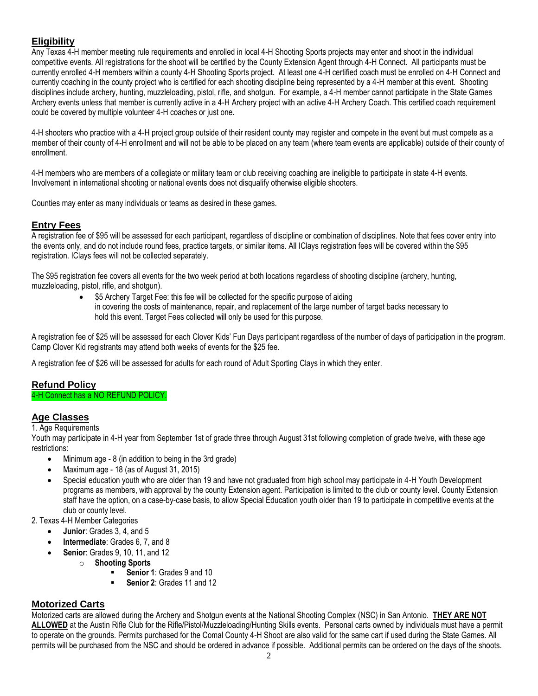#### **Eligibility**

Any Texas 4-H member meeting rule requirements and enrolled in local 4-H Shooting Sports projects may enter and shoot in the individual competitive events. All registrations for the shoot will be certified by the County Extension Agent through 4-H Connect. All participants must be currently enrolled 4-H members within a county 4-H Shooting Sports project. At least one 4-H certified coach must be enrolled on 4-H Connect and currently coaching in the county project who is certified for each shooting discipline being represented by a 4-H member at this event. Shooting disciplines include archery, hunting, muzzleloading, pistol, rifle, and shotgun. For example, a 4-H member cannot participate in the State Games Archery events unless that member is currently active in a 4-H Archery project with an active 4-H Archery Coach. This certified coach requirement could be covered by multiple volunteer 4-H coaches or just one.

4-H shooters who practice with a 4-H project group outside of their resident county may register and compete in the event but must compete as a member of their county of 4-H enrollment and will not be able to be placed on any team (where team events are applicable) outside of their county of enrollment.

4-H members who are members of a collegiate or military team or club receiving coaching are ineligible to participate in state 4-H events. Involvement in international shooting or national events does not disqualify otherwise eligible shooters.

Counties may enter as many individuals or teams as desired in these games.

#### **Entry Fees**

A registration fee of \$95 will be assessed for each participant, regardless of discipline or combination of disciplines. Note that fees cover entry into the events only, and do not include round fees, practice targets, or similar items. All IClays registration fees will be covered within the \$95 registration. IClays fees will not be collected separately.

The \$95 registration fee covers all events for the two week period at both locations regardless of shooting discipline (archery, hunting, muzzleloading, pistol, rifle, and shotgun).

> \$5 Archery Target Fee: this fee will be collected for the specific purpose of aiding in covering the costs of maintenance, repair, and replacement of the large number of target backs necessary to hold this event. Target Fees collected will only be used for this purpose.

A registration fee of \$25 will be assessed for each Clover Kids' Fun Days participant regardless of the number of days of participation in the program. Camp Clover Kid registrants may attend both weeks of events for the \$25 fee.

A registration fee of \$26 will be assessed for adults for each round of Adult Sporting Clays in which they enter.

#### **Refund Policy**

#### 4-H Connect has a NO REFUND POLICY.

#### **Age Classes**

1. Age Requirements

Youth may participate in 4-H year from September 1st of grade three through August 31st following completion of grade twelve, with these age restrictions:

- Minimum age 8 (in addition to being in the 3rd grade)
- Maximum age 18 (as of August 31, 2015)
- Special education youth who are older than 19 and have not graduated from high school may participate in 4-H Youth Development programs as members, with approval by the county Extension agent. Participation is limited to the club or county level. County Extension staff have the option, on a case-by-case basis, to allow Special Education youth older than 19 to participate in competitive events at the club or county level.

2. Texas 4-H Member Categories

- **Junior**: Grades 3, 4, and 5
- **Intermediate**: Grades 6, 7, and 8
	- **Senior**: Grades 9, 10, 11, and 12
	- o **Shooting Sports** 
		- **Senior 1: Grades 9 and 10**
		- **Senior 2**: Grades 11 and 12

#### **Motorized Carts**

Motorized carts are allowed during the Archery and Shotgun events at the National Shooting Complex (NSC) in San Antonio. **THEY ARE NOT ALLOWED** at the Austin Rifle Club for the Rifle/Pistol/Muzzleloading/Hunting Skills events. Personal carts owned by individuals must have a permit to operate on the grounds. Permits purchased for the Comal County 4-H Shoot are also valid for the same cart if used during the State Games. All permits will be purchased from the NSC and should be ordered in advance if possible. Additional permits can be ordered on the days of the shoots.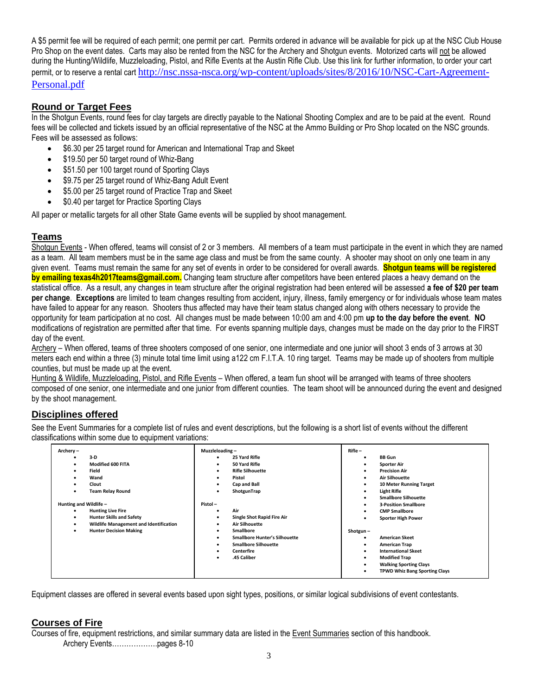A \$5 permit fee will be required of each permit; one permit per cart. Permits ordered in advance will be available for pick up at the NSC Club House Pro Shop on the event dates. Carts may also be rented from the NSC for the Archery and Shotgun events. Motorized carts will not be allowed during the Hunting/Wildlife, Muzzleloading, Pistol, and Rifle Events at the Austin Rifle Club. Use this link for further information, to order your cart permit, or to reserve a rental cart [http://nsc.nssa-nsca.org/wp-content/uploads/sites/8/2016/10/NSC-Cart-Agreement-](https://urldefense.proofpoint.com/v2/url?u=http-3A__nsc.nssa-2Dnsca.org_wp-2Dcontent_uploads_sites_8_2016_10_NSC-2DCart-2DAgreement-2DPersonal.pdf&d=DwMFAg&c=r_tSStIHV2ie60z4DgB-pQ&r=38-4sNyK9JBC24txHXWxCN6h5dMDfglN_J5Y3YfjZmc&m=0_ychQD5PGrNYq4QV5CHu35WxevRLMMK9VtSFLivY6M&s=D5V_-Co3kFOWspbMTEAGjuOWJ5LOj1mwfDSSjVTloeA&e=)[Personal.pdf](https://urldefense.proofpoint.com/v2/url?u=http-3A__nsc.nssa-2Dnsca.org_wp-2Dcontent_uploads_sites_8_2016_10_NSC-2DCart-2DAgreement-2DPersonal.pdf&d=DwMFAg&c=r_tSStIHV2ie60z4DgB-pQ&r=38-4sNyK9JBC24txHXWxCN6h5dMDfglN_J5Y3YfjZmc&m=0_ychQD5PGrNYq4QV5CHu35WxevRLMMK9VtSFLivY6M&s=D5V_-Co3kFOWspbMTEAGjuOWJ5LOj1mwfDSSjVTloeA&e=)

#### **Round or Target Fees**

In the Shotgun Events, round fees for clay targets are directly payable to the National Shooting Complex and are to be paid at the event. Round fees will be collected and tickets issued by an official representative of the NSC at the Ammo Building or Pro Shop located on the NSC grounds. Fees will be assessed as follows:

- \$6.30 per 25 target round for American and International Trap and Skeet
- \$19.50 per 50 target round of Whiz-Bang
- \$51.50 per 100 target round of Sporting Clays
- \$9.75 per 25 target round of Whiz-Bang Adult Event
- \$5.00 per 25 target round of Practice Trap and Skeet
- \$0.40 per target for Practice Sporting Clays

All paper or metallic targets for all other State Game events will be supplied by shoot management.

#### **Teams**

Shotgun Events - When offered, teams will consist of 2 or 3 members. All members of a team must participate in the event in which they are named as a team. All team members must be in the same age class and must be from the same county. A shooter may shoot on only one team in any given event. Teams must remain the same for any set of events in order to be considered for overall awards. **Shotgun teams will be registered by emailing texas4h2017teams@gmail.com.** Changing team structure after competitors have been entered places a heavy demand on the statistical office. As a result, any changes in team structure after the original registration had been entered will be assessed **a fee of \$20 per team per change**. **Exceptions** are limited to team changes resulting from accident, injury, illness, family emergency or for individuals whose team mates have failed to appear for any reason. Shooters thus affected may have their team status changed along with others necessary to provide the opportunity for team participation at no cost. All changes must be made between 10:00 am and 4:00 pm **up to the day before the event**. **NO**  modifications of registration are permitted after that time. For events spanning multiple days, changes must be made on the day prior to the FIRST day of the event.

Archery – When offered, teams of three shooters composed of one senior, one intermediate and one junior will shoot 3 ends of 3 arrows at 30 meters each end within a three (3) minute total time limit using a122 cm F.I.T.A. 10 ring target. Teams may be made up of shooters from multiple counties, but must be made up at the event.

Hunting & Wildlife, Muzzleloading, Pistol, and Rifle Events – When offered, a team fun shoot will be arranged with teams of three shooters composed of one senior, one intermediate and one junior from different counties. The team shoot will be announced during the event and designed by the shoot management.

#### **Disciplines offered**

See the Event Summaries for a complete list of rules and event descriptions, but the following is a short list of events without the different classifications within some due to equipment variations:

| Archery-<br>3-D<br>٠<br>Modified 600 FITA<br>٠<br><b>Field</b><br>٠<br>Wand<br>٠<br>Clout<br><b>Team Relay Round</b> | Muzzleloading-<br>25 Yard Rifle<br>٠<br>50 Yard Rifle<br>٠<br><b>Rifle Silhouette</b><br>٠<br>Pistol<br>٠<br>Cap and Ball<br>ShotgunTrap | $Rifle -$<br><b>BB</b> Gun<br><b>Sporter Air</b><br><b>Precision Air</b><br>٠<br><b>Air Silhouette</b><br>$\bullet$<br>10 Meter Running Target<br>$\bullet$<br><b>Light Rifle</b><br>٠<br><b>Smallbore Silhouette</b><br>٠ |
|----------------------------------------------------------------------------------------------------------------------|------------------------------------------------------------------------------------------------------------------------------------------|----------------------------------------------------------------------------------------------------------------------------------------------------------------------------------------------------------------------------|
| Hunting and Wildlife -                                                                                               | Pistol-                                                                                                                                  | <b>3-Position Smallbore</b><br>$\bullet$                                                                                                                                                                                   |
| <b>Hunting Live Fire</b><br>٠                                                                                        | Air<br>٠                                                                                                                                 | <b>CMP Smallbore</b><br>٠                                                                                                                                                                                                  |
| <b>Hunter Skills and Safety</b><br>٠                                                                                 | Single Shot Rapid Fire Air<br>٠                                                                                                          | <b>Sporter High Power</b>                                                                                                                                                                                                  |
| Wildlife Management and Identification                                                                               | <b>Air Silhouette</b>                                                                                                                    |                                                                                                                                                                                                                            |
| <b>Hunter Decision Making</b><br>٠                                                                                   | <b>Smallbore</b><br>٠                                                                                                                    | Shotgun-                                                                                                                                                                                                                   |
|                                                                                                                      | <b>Smallbore Hunter's Silhouette</b><br>٠                                                                                                | <b>American Skeet</b><br>$\bullet$                                                                                                                                                                                         |
|                                                                                                                      | <b>Smallbore Silhouette</b><br>$\bullet$                                                                                                 | <b>American Trap</b><br>٠                                                                                                                                                                                                  |
|                                                                                                                      | <b>Centerfire</b><br>٠                                                                                                                   | <b>International Skeet</b><br>$\bullet$                                                                                                                                                                                    |
|                                                                                                                      | .45 Caliber<br>$\bullet$                                                                                                                 | <b>Modified Trap</b><br>$\bullet$                                                                                                                                                                                          |
|                                                                                                                      |                                                                                                                                          | <b>Walking Sporting Clays</b><br>$\bullet$                                                                                                                                                                                 |
|                                                                                                                      |                                                                                                                                          | <b>TPWD Whiz Bang Sporting Clays</b><br>٠                                                                                                                                                                                  |

Equipment classes are offered in several events based upon sight types, positions, or similar logical subdivisions of event contestants.

#### **Courses of Fire**

Courses of fire, equipment restrictions, and similar summary data are listed in the Event Summaries section of this handbook. Archery Events……………….pages 8-10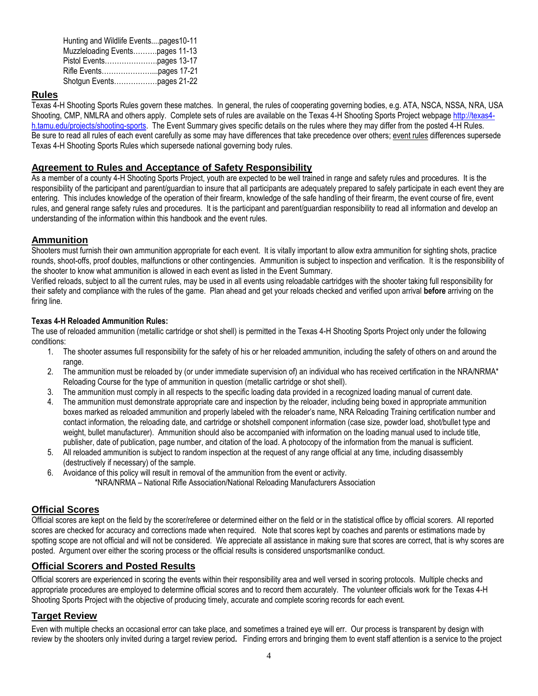| Hunting and Wildlife Eventspages10-11 |  |
|---------------------------------------|--|
| Muzzleloading Eventspages 11-13       |  |
|                                       |  |
|                                       |  |
|                                       |  |

#### **Rules**

Texas 4-H Shooting Sports Rules govern these matches. In general, the rules of cooperating governing bodies, e.g. ATA, NSCA, NSSA, NRA, USA Shooting, CMP, NMLRA and others apply. Complete sets of rules are available on the Texas 4-H Shooting Sports Project webpage [http://texas4](http://texas4-h.tamu.edu/shootingsports) [h.tamu.edu/projects/shooting-sports.](http://texas4-h.tamu.edu/shootingsports) The Event Summary gives specific details on the rules where they may differ from the posted 4-H Rules. Be sure to read all rules of each event carefully as some may have differences that take precedence over others; event rules differences supersede Texas 4-H Shooting Sports Rules which supersede national governing body rules.

#### **Agreement to Rules and Acceptance of Safety Responsibility**

As a member of a county 4-H Shooting Sports Project, youth are expected to be well trained in range and safety rules and procedures. It is the responsibility of the participant and parent/guardian to insure that all participants are adequately prepared to safely participate in each event they are entering. This includes knowledge of the operation of their firearm, knowledge of the safe handling of their firearm, the event course of fire, event rules, and general range safety rules and procedures. It is the participant and parent/guardian responsibility to read all information and develop an understanding of the information within this handbook and the event rules.

#### **Ammunition**

Shooters must furnish their own ammunition appropriate for each event. It is vitally important to allow extra ammunition for sighting shots, practice rounds, shoot-offs, proof doubles, malfunctions or other contingencies. Ammunition is subject to inspection and verification. It is the responsibility of the shooter to know what ammunition is allowed in each event as listed in the Event Summary.

Verified reloads, subject to all the current rules, may be used in all events using reloadable cartridges with the shooter taking full responsibility for their safety and compliance with the rules of the game. Plan ahead and get your reloads checked and verified upon arrival **before** arriving on the firing line.

#### **Texas 4-H Reloaded Ammunition Rules:**

The use of reloaded ammunition (metallic cartridge or shot shell) is permitted in the Texas 4-H Shooting Sports Project only under the following conditions:

- 1. The shooter assumes full responsibility for the safety of his or her reloaded ammunition, including the safety of others on and around the range.
- 2. The ammunition must be reloaded by (or under immediate supervision of) an individual who has received certification in the NRA/NRMA\* Reloading Course for the type of ammunition in question (metallic cartridge or shot shell).
- 3. The ammunition must comply in all respects to the specific loading data provided in a recognized loading manual of current date.
- 4. The ammunition must demonstrate appropriate care and inspection by the reloader, including being boxed in appropriate ammunition boxes marked as reloaded ammunition and properly labeled with the reloader's name, NRA Reloading Training certification number and contact information, the reloading date, and cartridge or shotshell component information (case size, powder load, shot/bullet type and weight, bullet manufacturer). Ammunition should also be accompanied with information on the loading manual used to include title, publisher, date of publication, page number, and citation of the load. A photocopy of the information from the manual is sufficient.
- 5. All reloaded ammunition is subject to random inspection at the request of any range official at any time, including disassembly (destructively if necessary) of the sample.
- 6. Avoidance of this policy will result in removal of the ammunition from the event or activity. \*NRA/NRMA – National Rifle Association/National Reloading Manufacturers Association

#### **Official Scores**

Official scores are kept on the field by the scorer/referee or determined either on the field or in the statistical office by official scorers. All reported scores are checked for accuracy and corrections made when required. Note that scores kept by coaches and parents or estimations made by spotting scope are not official and will not be considered. We appreciate all assistance in making sure that scores are correct, that is why scores are posted. Argument over either the scoring process or the official results is considered unsportsmanlike conduct.

#### **Official Scorers and Posted Results**

Official scorers are experienced in scoring the events within their responsibility area and well versed in scoring protocols. Multiple checks and appropriate procedures are employed to determine official scores and to record them accurately. The volunteer officials work for the Texas 4-H Shooting Sports Project with the objective of producing timely, accurate and complete scoring records for each event.

#### **Target Review**

Even with multiple checks an occasional error can take place, and sometimes a trained eye will err. Our process is transparent by design with review by the shooters only invited during a target review period**.** Finding errors and bringing them to event staff attention is a service to the project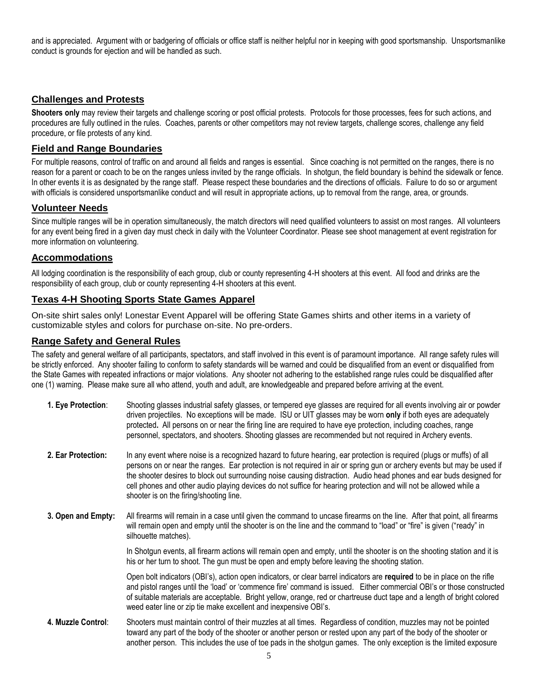and is appreciated. Argument with or badgering of officials or office staff is neither helpful nor in keeping with good sportsmanship. Unsportsmanlike conduct is grounds for ejection and will be handled as such.

#### **Challenges and Protests**

**Shooters only** may review their targets and challenge scoring or post official protests. Protocols for those processes, fees for such actions, and procedures are fully outlined in the rules. Coaches, parents or other competitors may not review targets, challenge scores, challenge any field procedure, or file protests of any kind.

#### **Field and Range Boundaries**

For multiple reasons, control of traffic on and around all fields and ranges is essential. Since coaching is not permitted on the ranges, there is no reason for a parent or coach to be on the ranges unless invited by the range officials. In shotgun, the field boundary is behind the sidewalk or fence. In other events it is as designated by the range staff. Please respect these boundaries and the directions of officials. Failure to do so or argument with officials is considered unsportsmanlike conduct and will result in appropriate actions, up to removal from the range, area, or grounds.

#### **Volunteer Needs**

Since multiple ranges will be in operation simultaneously, the match directors will need qualified volunteers to assist on most ranges. All volunteers for any event being fired in a given day must check in daily with the Volunteer Coordinator. Please see shoot management at event registration for more information on volunteering.

#### **Accommodations**

All lodging coordination is the responsibility of each group, club or county representing 4-H shooters at this event. All food and drinks are the responsibility of each group, club or county representing 4-H shooters at this event.

#### **Texas 4-H Shooting Sports State Games Apparel**

On-site shirt sales only! Lonestar Event Apparel will be offering State Games shirts and other items in a variety of customizable styles and colors for purchase on-site. No pre-orders.

#### **Range Safety and General Rules**

The safety and general welfare of all participants, spectators, and staff involved in this event is of paramount importance. All range safety rules will be strictly enforced. Any shooter failing to conform to safety standards will be warned and could be disqualified from an event or disqualified from the State Games with repeated infractions or major violations. Any shooter not adhering to the established range rules could be disqualified after one (1) warning. Please make sure all who attend, youth and adult, are knowledgeable and prepared before arriving at the event.

- **1. Eye Protection**: Shooting glasses industrial safety glasses, or tempered eye glasses are required for all events involving air or powder driven projectiles. No exceptions will be made. ISU or UIT glasses may be worn **only** if both eyes are adequately protected**.** All persons on or near the firing line are required to have eye protection, including coaches, range personnel, spectators, and shooters. Shooting glasses are recommended but not required in Archery events.
- **2. Ear Protection:** In any event where noise is a recognized hazard to future hearing, ear protection is required (plugs or muffs) of all persons on or near the ranges. Ear protection is not required in air or spring gun or archery events but may be used if the shooter desires to block out surrounding noise causing distraction. Audio head phones and ear buds designed for cell phones and other audio playing devices do not suffice for hearing protection and will not be allowed while a shooter is on the firing/shooting line.
- **3. Open and Empty:** All firearms will remain in a case until given the command to uncase firearms on the line. After that point, all firearms will remain open and empty until the shooter is on the line and the command to "load" or "fire" is given ("ready" in silhouette matches).

In Shotgun events, all firearm actions will remain open and empty, until the shooter is on the shooting station and it is his or her turn to shoot. The gun must be open and empty before leaving the shooting station.

Open bolt indicators (OBI's), action open indicators, or clear barrel indicators are **required** to be in place on the rifle and pistol ranges until the 'load' or 'commence fire' command is issued. Either commercial OBI's or those constructed of suitable materials are acceptable. Bright yellow, orange, red or chartreuse duct tape and a length of bright colored weed eater line or zip tie make excellent and inexpensive OBI's.

**4. Muzzle Control**: Shooters must maintain control of their muzzles at all times. Regardless of condition, muzzles may not be pointed toward any part of the body of the shooter or another person or rested upon any part of the body of the shooter or another person. This includes the use of toe pads in the shotgun games. The only exception is the limited exposure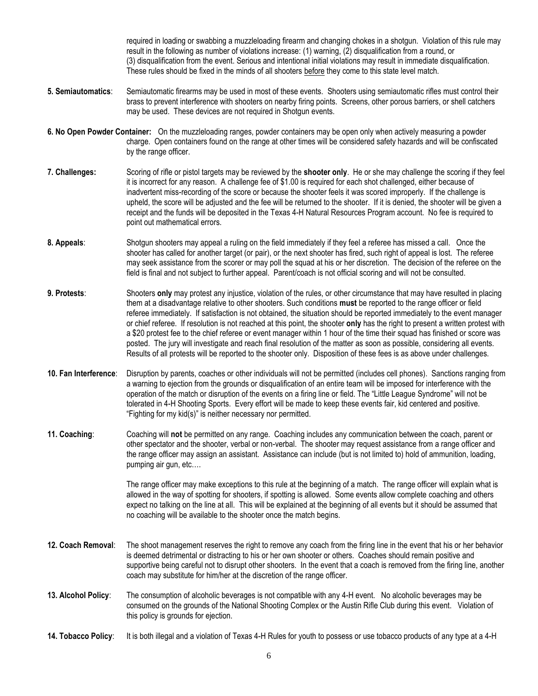required in loading or swabbing a muzzleloading firearm and changing chokes in a shotgun. Violation of this rule may result in the following as number of violations increase: (1) warning, (2) disqualification from a round, or (3) disqualification from the event. Serious and intentional initial violations may result in immediate disqualification. These rules should be fixed in the minds of all shooters before they come to this state level match.

- **5. Semiautomatics**: Semiautomatic firearms may be used in most of these events. Shooters using semiautomatic rifles must control their brass to prevent interference with shooters on nearby firing points. Screens, other porous barriers, or shell catchers may be used. These devices are not required in Shotgun events.
- **6. No Open Powder Container:** On the muzzleloading ranges, powder containers may be open only when actively measuring a powder charge. Open containers found on the range at other times will be considered safety hazards and will be confiscated by the range officer.
- **7. Challenges:** Scoring of rifle or pistol targets may be reviewed by the **shooter only**. He or she may challenge the scoring if they feel it is incorrect for any reason. A challenge fee of \$1.00 is required for each shot challenged, either because of inadvertent miss-recording of the score or because the shooter feels it was scored improperly. If the challenge is upheld, the score will be adjusted and the fee will be returned to the shooter. If it is denied, the shooter will be given a receipt and the funds will be deposited in the Texas 4-H Natural Resources Program account. No fee is required to point out mathematical errors.
- **8. Appeals**: Shotgun shooters may appeal a ruling on the field immediately if they feel a referee has missed a call. Once the shooter has called for another target (or pair), or the next shooter has fired, such right of appeal is lost. The referee may seek assistance from the scorer or may poll the squad at his or her discretion. The decision of the referee on the field is final and not subject to further appeal. Parent/coach is not official scoring and will not be consulted.
- **9. Protests**: Shooters **only** may protest any injustice, violation of the rules, or other circumstance that may have resulted in placing them at a disadvantage relative to other shooters. Such conditions **must** be reported to the range officer or field referee immediately. If satisfaction is not obtained, the situation should be reported immediately to the event manager or chief referee. If resolution is not reached at this point, the shooter **only** has the right to present a written protest with a \$20 protest fee to the chief referee or event manager within 1 hour of the time their squad has finished or score was posted. The jury will investigate and reach final resolution of the matter as soon as possible, considering all events. Results of all protests will be reported to the shooter only. Disposition of these fees is as above under challenges.
- **10. Fan Interference**: Disruption by parents, coaches or other individuals will not be permitted (includes cell phones). Sanctions ranging from a warning to ejection from the grounds or disqualification of an entire team will be imposed for interference with the operation of the match or disruption of the events on a firing line or field. The "Little League Syndrome" will not be tolerated in 4-H Shooting Sports. Every effort will be made to keep these events fair, kid centered and positive. "Fighting for my kid(s)" is neither necessary nor permitted.
- **11. Coaching**: Coaching will **not** be permitted on any range. Coaching includes any communication between the coach, parent or other spectator and the shooter, verbal or non-verbal. The shooter may request assistance from a range officer and the range officer may assign an assistant. Assistance can include (but is not limited to) hold of ammunition, loading, pumping air gun, etc….

The range officer may make exceptions to this rule at the beginning of a match. The range officer will explain what is allowed in the way of spotting for shooters, if spotting is allowed. Some events allow complete coaching and others expect no talking on the line at all. This will be explained at the beginning of all events but it should be assumed that no coaching will be available to the shooter once the match begins.

- **12. Coach Removal**: The shoot management reserves the right to remove any coach from the firing line in the event that his or her behavior is deemed detrimental or distracting to his or her own shooter or others. Coaches should remain positive and supportive being careful not to disrupt other shooters. In the event that a coach is removed from the firing line, another coach may substitute for him/her at the discretion of the range officer.
- **13. Alcohol Policy**: The consumption of alcoholic beverages is not compatible with any 4-H event. No alcoholic beverages may be consumed on the grounds of the National Shooting Complex or the Austin Rifle Club during this event. Violation of this policy is grounds for ejection.
- **14. Tobacco Policy**: It is both illegal and a violation of Texas 4-H Rules for youth to possess or use tobacco products of any type at a 4-H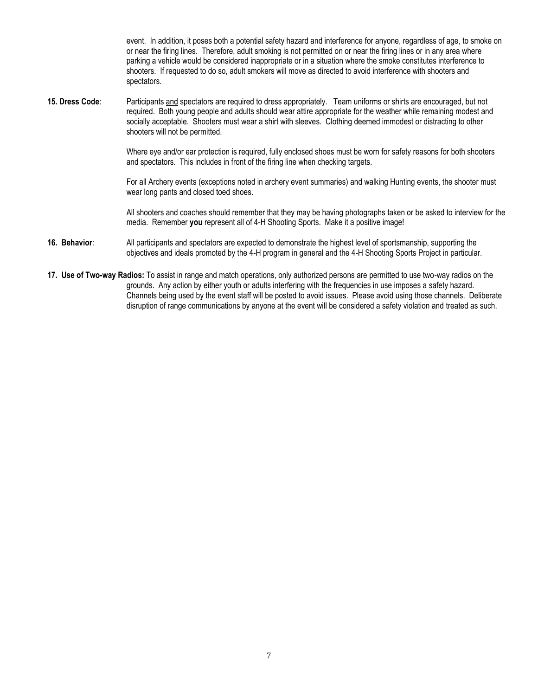event. In addition, it poses both a potential safety hazard and interference for anyone, regardless of age, to smoke on or near the firing lines. Therefore, adult smoking is not permitted on or near the firing lines or in any area where parking a vehicle would be considered inappropriate or in a situation where the smoke constitutes interference to shooters. If requested to do so, adult smokers will move as directed to avoid interference with shooters and spectators.

**15. Dress Code**: Participants and spectators are required to dress appropriately. Team uniforms or shirts are encouraged, but not required. Both young people and adults should wear attire appropriate for the weather while remaining modest and socially acceptable. Shooters must wear a shirt with sleeves. Clothing deemed immodest or distracting to other shooters will not be permitted.

> Where eye and/or ear protection is required, fully enclosed shoes must be worn for safety reasons for both shooters and spectators. This includes in front of the firing line when checking targets.

> For all Archery events (exceptions noted in archery event summaries) and walking Hunting events, the shooter must wear long pants and closed toed shoes.

All shooters and coaches should remember that they may be having photographs taken or be asked to interview for the media. Remember **you** represent all of 4-H Shooting Sports. Make it a positive image!

- **16. Behavior**: All participants and spectators are expected to demonstrate the highest level of sportsmanship, supporting the objectives and ideals promoted by the 4-H program in general and the 4-H Shooting Sports Project in particular.
- **17. Use of Two-way Radios:** To assist in range and match operations, only authorized persons are permitted to use two-way radios on the grounds. Any action by either youth or adults interfering with the frequencies in use imposes a safety hazard. Channels being used by the event staff will be posted to avoid issues. Please avoid using those channels. Deliberate disruption of range communications by anyone at the event will be considered a safety violation and treated as such.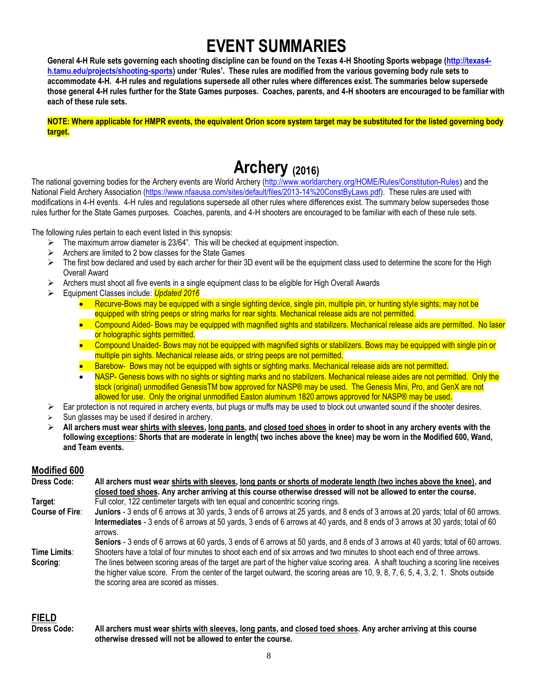## **EVENT SUMMARIES**

General 4-H Rule sets governing each shooting discipline can be found on the Texas 4-H Shooting Sports webpage [\(http://texas4](http://texas4-h.tamu.edu/projects/shooting-sports) **[h.tamu.edu/projects/shooting-sports](http://texas4-h.tamu.edu/projects/shooting-sports)) under 'Rules'. These rules are modified from the various governing body rule sets to accommodate 4-H. 4-H rules and regulations supersede all other rules where differences exist. The summaries below supersede those general 4-H rules further for the State Games purposes. Coaches, parents, and 4-H shooters are encouraged to be familiar with each of these rule sets.**

**NOTE: Where applicable for HMPR events, the equivalent Orion score system target may be substituted for the listed governing body target.**

## **Archery (2016)**

The national governing bodies for the Archery events are World Archery [\(http://www.worldarchery.org/HOME/Rules/Constitution-Rules](http://www.worldarchery.org/HOME/Rules/Constitution-Rules)) and the National Field Archery Association [\(https://www.nfaausa.com/sites/default/files/2013-14%20ConstByLaws.pdf\)](https://www.nfaausa.com/sites/default/files/2013-14%20ConstByLaws.pdf). These rules are used with modifications in 4-H events. 4-H rules and regulations supersede all other rules where differences exist. The summary below supersedes those rules further for the State Games purposes. Coaches, parents, and 4-H shooters are encouraged to be familiar with each of these rule sets.

The following rules pertain to each event listed in this synopsis:

- $\triangleright$  The maximum arrow diameter is 23/64". This will be checked at equipment inspection.
- $\triangleright$  Archers are limited to 2 bow classes for the State Games
- $\triangleright$  The first bow declared and used by each archer for their 3D event will be the equipment class used to determine the score for the High Overall Award
- Archers must shoot all five events in a single equipment class to be eligible for High Overall Awards
- Equipment Classes include: *Updated 2016*
	- Recurve-Bows may be equipped with a single sighting device, single pin, multiple pin, or hunting style sights; may not be equipped with string peeps or string marks for rear sights. Mechanical release aids are not permitted.
	- Compound Aided- Bows may be equipped with magnified sights and stabilizers. Mechanical release aids are permitted. No laser or holographic sights permitted.
	- Compound Unaided- Bows may not be equipped with magnified sights or stabilizers. Bows may be equipped with single pin or multiple pin sights. Mechanical release aids, or string peeps are not permitted.
	- Barebow- Bows may not be equipped with sights or sighting marks. Mechanical release aids are not permitted.
	- NASP- Genesis bows with no sights or sighting marks and no stabilizers. Mechanical release aides are not permitted. Only the stock (original) unmodified GenesisTM bow approved for NASP® may be used. The Genesis Mini, Pro, and GenX are not allowed for use. Only the original unmodified Easton aluminum 1820 arrows approved for NASP® may be used.
- $\triangleright$  Ear protection is not required in archery events, but plugs or muffs may be used to block out unwanted sound if the shooter desires.
- Sun glasses may be used if desired in archery.
- **All archers must wear shirts with sleeves, long pants, and closed toed shoes in order to shoot in any archery events with the following exceptions: Shorts that are moderate in length( two inches above the knee) may be worn in the Modified 600, Wand, and Team events.**

#### **Modified 600**

| <b>Dress Code:</b>     | All archers must wear shirts with sleeves, long pants or shorts of moderate length (two inches above the knee), and                        |  |  |
|------------------------|--------------------------------------------------------------------------------------------------------------------------------------------|--|--|
|                        | closed toed shoes. Any archer arriving at this course otherwise dressed will not be allowed to enter the course.                           |  |  |
| Target:                | Full color, 122 centimeter targets with ten equal and concentric scoring rings.                                                            |  |  |
| <b>Course of Fire:</b> | Juniors - 3 ends of 6 arrows at 30 yards, 3 ends of 6 arrows at 25 yards, and 8 ends of 3 arrows at 20 yards; total of 60 arrows.          |  |  |
|                        | Intermediates - 3 ends of 6 arrows at 50 yards, 3 ends of 6 arrows at 40 yards, and 8 ends of 3 arrows at 30 yards; total of 60<br>arrows. |  |  |
|                        | Seniors - 3 ends of 6 arrows at 60 yards, 3 ends of 6 arrows at 50 yards, and 8 ends of 3 arrows at 40 yards; total of 60 arrows.          |  |  |
| Time Limits:           | Shooters have a total of four minutes to shoot each end of six arrows and two minutes to shoot each end of three arrows.                   |  |  |
| Scoring:               | The lines between scoring areas of the target are part of the higher value scoring area. A shaft touching a scoring line receives          |  |  |
|                        | the higher value score. From the center of the target outward, the scoring areas are 10, 9, 8, 7, 6, 5, 4, 3, 2, 1. Shots outside          |  |  |
|                        | the scoring area are scored as misses.                                                                                                     |  |  |

## **FIELD**

**Dress Code: All archers must wear shirts with sleeves, long pants, and closed toed shoes. Any archer arriving at this course otherwise dressed will not be allowed to enter the course.**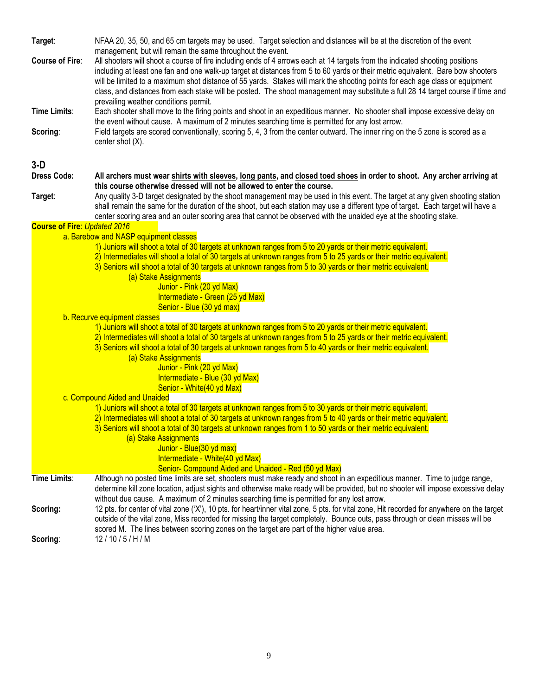**Target**: NFAA 20, 35, 50, and 65 cm targets may be used. Target selection and distances will be at the discretion of the event management, but will remain the same throughout the event.

**Course of Fire**: All shooters will shoot a course of fire including ends of 4 arrows each at 14 targets from the indicated shooting positions including at least one fan and one walk-up target at distances from 5 to 60 yards or their metric equivalent. Bare bow shooters will be limited to a maximum shot distance of 55 yards. Stakes will mark the shooting points for each age class or equipment class, and distances from each stake will be posted. The shoot management may substitute a full 28 14 target course if time and prevailing weather conditions permit.

**Time Limits**: Each shooter shall move to the firing points and shoot in an expeditious manner. No shooter shall impose excessive delay on the event without cause. A maximum of 2 minutes searching time is permitted for any lost arrow. **Scoring:** Field targets are scored conventionally, scoring 5, 4, 3 from the center outward. The inner ring on the 5 zone is scored as a center shot (X).

#### **3-D**

| ש-ט                                 |                                                                                                                                                                                                                                                                             |
|-------------------------------------|-----------------------------------------------------------------------------------------------------------------------------------------------------------------------------------------------------------------------------------------------------------------------------|
| <b>Dress Code:</b>                  | All archers must wear shirts with sleeves, long pants, and closed toed shoes in order to shoot. Any archer arriving at                                                                                                                                                      |
|                                     | this course otherwise dressed will not be allowed to enter the course.                                                                                                                                                                                                      |
| Target:                             | Any quality 3-D target designated by the shoot management may be used in this event. The target at any given shooting station<br>shall remain the same for the duration of the shoot, but each station may use a different type of target. Each target will have a          |
|                                     | center scoring area and an outer scoring area that cannot be observed with the unaided eye at the shooting stake.                                                                                                                                                           |
| <b>Course of Fire: Updated 2016</b> |                                                                                                                                                                                                                                                                             |
|                                     | a. Barebow and NASP equipment classes                                                                                                                                                                                                                                       |
|                                     | 1) Juniors will shoot a total of 30 targets at unknown ranges from 5 to 20 yards or their metric equivalent.                                                                                                                                                                |
|                                     | 2) Intermediates will shoot a total of 30 targets at unknown ranges from 5 to 25 yards or their metric equivalent.                                                                                                                                                          |
|                                     | 3) Seniors will shoot a total of 30 targets at unknown ranges from 5 to 30 yards or their metric equivalent.                                                                                                                                                                |
|                                     | (a) Stake Assignments                                                                                                                                                                                                                                                       |
|                                     | Junior - Pink (20 yd Max)                                                                                                                                                                                                                                                   |
|                                     | Intermediate - Green (25 yd Max)                                                                                                                                                                                                                                            |
|                                     | Senior - Blue (30 yd max)                                                                                                                                                                                                                                                   |
|                                     | b. Recurve equipment classes                                                                                                                                                                                                                                                |
|                                     | 1) Juniors will shoot a total of 30 targets at unknown ranges from 5 to 20 yards or their metric equivalent.                                                                                                                                                                |
|                                     | 2) Intermediates will shoot a total of 30 targets at unknown ranges from 5 to 25 yards or their metric equivalent.                                                                                                                                                          |
|                                     | 3) Seniors will shoot a total of 30 targets at unknown ranges from 5 to 40 yards or their metric equivalent.                                                                                                                                                                |
|                                     | (a) Stake Assignments                                                                                                                                                                                                                                                       |
|                                     | Junior - Pink (20 yd Max)                                                                                                                                                                                                                                                   |
|                                     | Intermediate - Blue (30 yd Max)                                                                                                                                                                                                                                             |
|                                     | Senior - White(40 yd Max)                                                                                                                                                                                                                                                   |
|                                     | c. Compound Aided and Unaided                                                                                                                                                                                                                                               |
|                                     | 1) Juniors will shoot a total of 30 targets at unknown ranges from 5 to 30 yards or their metric equivalent.                                                                                                                                                                |
|                                     | 2) Intermediates will shoot a total of 30 targets at unknown ranges from 5 to 40 yards or their metric equivalent.                                                                                                                                                          |
|                                     | 3) Seniors will shoot a total of 30 targets at unknown ranges from 1 to 50 yards or their metric equivalent.                                                                                                                                                                |
|                                     | (a) Stake Assignments                                                                                                                                                                                                                                                       |
|                                     | Junior - Blue(30 yd max)                                                                                                                                                                                                                                                    |
|                                     | Intermediate - White(40 yd Max)                                                                                                                                                                                                                                             |
|                                     | Senior- Compound Aided and Unaided - Red (50 yd Max)                                                                                                                                                                                                                        |
| Time Limits:                        | Although no posted time limits are set, shooters must make ready and shoot in an expeditious manner. Time to judge range,                                                                                                                                                   |
|                                     | determine kill zone location, adjust sights and otherwise make ready will be provided, but no shooter will impose excessive delay                                                                                                                                           |
|                                     | without due cause. A maximum of 2 minutes searching time is permitted for any lost arrow.                                                                                                                                                                                   |
| Scoring:                            | 12 pts. for center of vital zone ('X'), 10 pts. for heart/inner vital zone, 5 pts. for vital zone, Hit recorded for anywhere on the target<br>outside of the vital zone, Miss recorded for missing the target completely. Bounce outs, pass through or clean misses will be |
|                                     | scored M. The lines between scoring zones on the target are part of the higher value area.                                                                                                                                                                                  |
|                                     | 12/10/5/H/M                                                                                                                                                                                                                                                                 |
| Scoring:                            |                                                                                                                                                                                                                                                                             |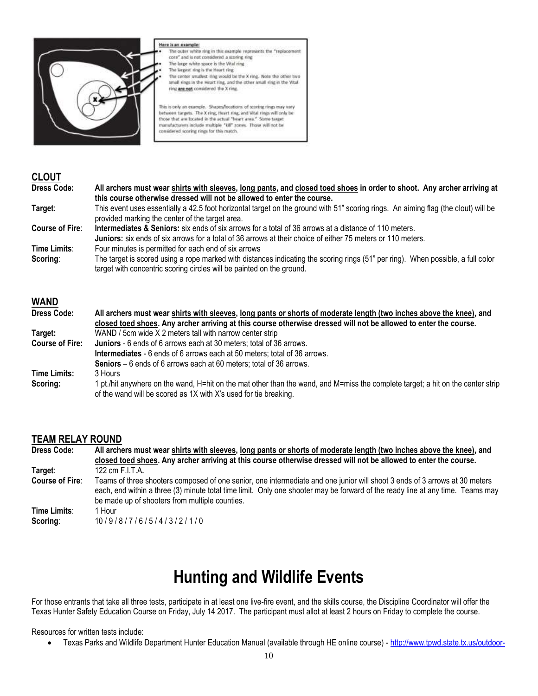

#### Here is an example:

- The outer white ring in this example represents the "replacement core" and is not considered a scoring ring The large white space is the Vital ring The largest ring is the Heart ring The center smallest ring would be the X ring. Note the other two
- small rings in the Heart ring, and the other small ring in the Vital ring are not considered the X ring.

This is only an example. Shapes/locations of scoring rings may vary between targets. The X ring, Heart ring, and Vital rings will only be<br>those that are located in the actual "heart area." Some target manufacturers include multiple "kill" zones. Those will not be considered scoring rings for this match.

#### **CLOUT**

| <b>Dress Code:</b>     | All archers must wear shirts with sleeves, long pants, and closed toed shoes in order to shoot. Any archer arriving at             |  |
|------------------------|------------------------------------------------------------------------------------------------------------------------------------|--|
|                        | this course otherwise dressed will not be allowed to enter the course.                                                             |  |
| Target:                | This event uses essentially a 42.5 foot horizontal target on the ground with 51" scoring rings. An aiming flag (the clout) will be |  |
|                        | provided marking the center of the target area.                                                                                    |  |
| <b>Course of Fire:</b> | <b>Intermediates &amp; Seniors:</b> six ends of six arrows for a total of 36 arrows at a distance of 110 meters.                   |  |
|                        | <b>Juniors:</b> six ends of six arrows for a total of 36 arrows at their choice of either 75 meters or 110 meters.                 |  |
| Time Limits:           | Four minutes is permitted for each end of six arrows                                                                               |  |
| Scoring:               | The target is scored using a rope marked with distances indicating the scoring rings (51" per ring). When possible, a full color   |  |
|                        | target with concentric scoring circles will be painted on the ground.                                                              |  |

#### **WAND**

| <b>Dress Code:</b>     | All archers must wear shirts with sleeves, long pants or shorts of moderate length (two inches above the knee), and             |
|------------------------|---------------------------------------------------------------------------------------------------------------------------------|
|                        | closed toed shoes. Any archer arriving at this course otherwise dressed will not be allowed to enter the course.                |
| Target:                | WAND / 5cm wide X 2 meters tall with narrow center strip                                                                        |
| <b>Course of Fire:</b> | <b>Juniors</b> - 6 ends of 6 arrows each at 30 meters; total of 36 arrows.                                                      |
|                        | Intermediates - 6 ends of 6 arrows each at 50 meters; total of 36 arrows.                                                       |
|                        | Seniors – 6 ends of 6 arrows each at 60 meters; total of 36 arrows.                                                             |
| <b>Time Limits:</b>    | 3 Hours                                                                                                                         |
| Scoring:               | 1 pt./hit anywhere on the wand, H=hit on the mat other than the wand, and M=miss the complete target; a hit on the center strip |
|                        | of the wand will be scored as 1X with X's used for tie breaking.                                                                |

#### **TEAM RELAY ROUND**

| <b>Dress Code:</b>     | All archers must wear shirts with sleeves, long pants or shorts of moderate length (two inches above the knee), and<br>closed toed shoes. Any archer arriving at this course otherwise dressed will not be allowed to enter the course.                                                                        |  |  |
|------------------------|----------------------------------------------------------------------------------------------------------------------------------------------------------------------------------------------------------------------------------------------------------------------------------------------------------------|--|--|
| Target:                | 122 cm F.I.T.A.                                                                                                                                                                                                                                                                                                |  |  |
| <b>Course of Fire:</b> | Teams of three shooters composed of one senior, one intermediate and one junior will shoot 3 ends of 3 arrows at 30 meters<br>each, end within a three (3) minute total time limit. Only one shooter may be forward of the ready line at any time. Teams may<br>be made up of shooters from multiple counties. |  |  |
| Time Limits:           | 1 Hour                                                                                                                                                                                                                                                                                                         |  |  |
| Scoring:               | 10/9/8/7/6/5/4/3/2/1/0                                                                                                                                                                                                                                                                                         |  |  |

## **Hunting and Wildlife Events**

For those entrants that take all three tests, participate in at least one live-fire event, and the skills course, the Discipline Coordinator will offer the Texas Hunter Safety Education Course on Friday, July 14 2017. The participant must allot at least 2 hours on Friday to complete the course.

Resources for written tests include:

Texas Parks and Wildlife Department Hunter Education Manual (available through HE online course) - [http://www.tpwd.state.tx.us/outdoor-](http://www.tpwd.state.tx.us/outdoor-learning/hunter-education/online-course)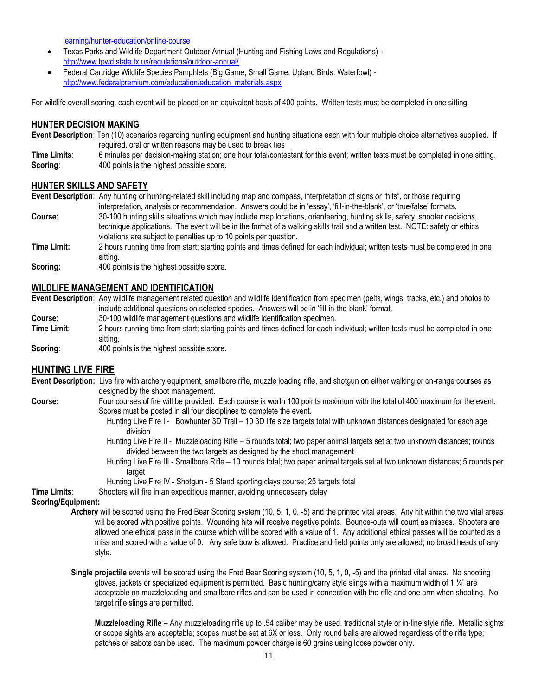[learning/hunter-education/online-course](http://www.tpwd.state.tx.us/outdoor-learning/hunter-education/online-course)

- Texas Parks and Wildlife Department Outdoor Annual (Hunting and Fishing Laws and Regulations) <http://www.tpwd.state.tx.us/regulations/outdoor-annual/>
- Federal Cartridge Wildlife Species Pamphlets (Big Game, Small Game, Upland Birds, Waterfowl) [http://www.federalpremium.com/education/education\\_materials.aspx](http://www.federalpremium.com/education/education_materials.aspx)

For wildlife overall scoring, each event will be placed on an equivalent basis of 400 points. Written tests must be completed in one sitting.

#### **HUNTER DECISION MAKING**

**Event Description**: Ten (10) scenarios regarding hunting equipment and hunting situations each with four multiple choice alternatives supplied. If required, oral or written reasons may be used to break ties

**Time Limits**: 6 minutes per decision-making station; one hour total/contestant for this event; written tests must be completed in one sitting. **Scoring:** 400 points is the highest possible score.

#### **HUNTER SKILLS AND SAFETY**

**Event Description**: Any hunting or hunting-related skill including map and compass, interpretation of signs or "hits", or those requiring interpretation, analysis or recommendation. Answers could be in 'essay', 'fill-in-the-blank', or 'true/false' formats. **Course**: 30-100 hunting skills situations which may include map locations, orienteering, hunting skills, safety, shooter decisions, technique applications. The event will be in the format of a walking skills trail and a written test. NOTE: safety or ethics violations are subject to penalties up to 10 points per question.

- **Time Limit:** 2 hours running time from start; starting points and times defined for each individual; written tests must be completed in one sitting.
- **Scoring:** 400 points is the highest possible score.

#### **WILDLIFE MANAGEMENT AND IDENTIFICATION**

**Event Description**: Any wildlife management related question and wildlife identification from specimen (pelts, wings, tracks, etc.) and photos to include additional questions on selected species. Answers will be in 'fill-in-the-blank' format.

- **Course:** 30-100 wildlife management questions and wildlife identification specimen.<br> **Time Limit:** 2 hours running time from start: starting points and times defined for each in
- 2 hours running time from start; starting points and times defined for each individual; written tests must be completed in one sitting.

**Scoring:** 400 points is the highest possible score.

#### **HUNTING LIVE FIRE**

- **Event Description:** Live fire with archery equipment, smallbore rifle, muzzle loading rifle, and shotgun on either walking or on-range courses as designed by the shoot management.
- **Course:** Four courses of fire will be provided. Each course is worth 100 points maximum with the total of 400 maximum for the event. Scores must be posted in all four disciplines to complete the event.
	- Hunting Live Fire I Bowhunter 3D Trail 10 3D life size targets total with unknown distances designated for each age division
	- Hunting Live Fire II Muzzleloading Rifle 5 rounds total; two paper animal targets set at two unknown distances; rounds divided between the two targets as designed by the shoot management
	- Hunting Live Fire III Smallbore Rifle 10 rounds total; two paper animal targets set at two unknown distances; 5 rounds per target
	- Hunting Live Fire IV Shotgun 5 Stand sporting clays course; 25 targets total

**Time Limits**: Shooters will fire in an expeditious manner, avoiding unnecessary delay

**Scoring/Equipment:**

- **Archery** will be scored using the Fred Bear Scoring system (10, 5, 1, 0, -5) and the printed vital areas. Any hit within the two vital areas will be scored with positive points. Wounding hits will receive negative points. Bounce-outs will count as misses. Shooters are allowed one ethical pass in the course which will be scored with a value of 1. Any additional ethical passes will be counted as a miss and scored with a value of 0. Any safe bow is allowed. Practice and field points only are allowed; no broad heads of any style.
- **Single projectile** events will be scored using the Fred Bear Scoring system (10, 5, 1, 0, -5) and the printed vital areas. No shooting gloves, jackets or specialized equipment is permitted. Basic hunting/carry style slings with a maximum width of 1  $\frac{1}{4}$ " are acceptable on muzzleloading and smallbore rifles and can be used in connection with the rifle and one arm when shooting. No target rifle slings are permitted.

**Muzzleloading Rifle –** Any muzzleloading rifle up to .54 caliber may be used, traditional style or in-line style rifle. Metallic sights or scope sights are acceptable; scopes must be set at 6X or less. Only round balls are allowed regardless of the rifle type; patches or sabots can be used. The maximum powder charge is 60 grains using loose powder only.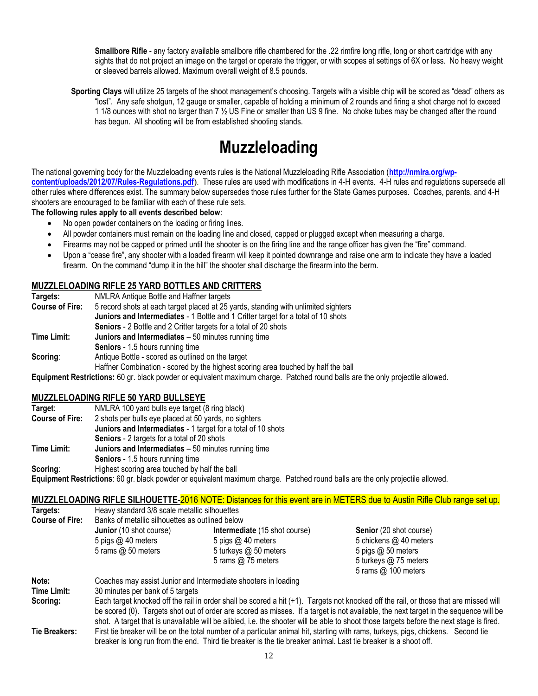**Smallbore Rifle** - any factory available smallbore rifle chambered for the .22 rimfire long rifle, long or short cartridge with any sights that do not project an image on the target or operate the trigger, or with scopes at settings of 6X or less. No heavy weight or sleeved barrels allowed. Maximum overall weight of 8.5 pounds.

**Sporting Clays** will utilize 25 targets of the shoot management's choosing. Targets with a visible chip will be scored as "dead" others as "lost". Any safe shotgun, 12 gauge or smaller, capable of holding a minimum of 2 rounds and firing a shot charge not to exceed 1 1/8 ounces with shot no larger than 7 ½ US Fine or smaller than US 9 fine. No choke tubes may be changed after the round has begun. All shooting will be from established shooting stands.

## **Muzzleloading**

The national governing body for the Muzzleloading events rules is the National Muzzleloading Rifle Association (**[http://nmlra.org/wp](http://nmlra.org/wp-content/uploads/2012/07/Rules-Regulations.pdf)[content/uploads/2012/07/Rules-Regulations.pdf](http://nmlra.org/wp-content/uploads/2012/07/Rules-Regulations.pdf)**). These rules are used with modifications in 4-H events. 4-H rules and regulations supersede all other rules where differences exist. The summary below supersedes those rules further for the State Games purposes. Coaches, parents, and 4-H shooters are encouraged to be familiar with each of these rule sets.

**The following rules apply to all events described below**:

- No open powder containers on the loading or firing lines.
- All powder containers must remain on the loading line and closed, capped or plugged except when measuring a charge.
- Firearms may not be capped or primed until the shooter is on the firing line and the range officer has given the "fire" command.
- Upon a "cease fire", any shooter with a loaded firearm will keep it pointed downrange and raise one arm to indicate they have a loaded firearm. On the command "dump it in the hill" the shooter shall discharge the firearm into the berm.

#### **MUZZLELOADING RIFLE 25 YARD BOTTLES AND CRITTERS**

| Targets:               | NMLRA Antique Bottle and Haffner targets                                                                                       |  |  |
|------------------------|--------------------------------------------------------------------------------------------------------------------------------|--|--|
| <b>Course of Fire:</b> | 5 record shots at each target placed at 25 yards, standing with unlimited sighters                                             |  |  |
|                        | Juniors and Intermediates - 1 Bottle and 1 Critter target for a total of 10 shots                                              |  |  |
|                        | <b>Seniors</b> - 2 Bottle and 2 Critter targets for a total of 20 shots                                                        |  |  |
| Time Limit:            | Juniors and Intermediates - 50 minutes running time                                                                            |  |  |
|                        | <b>Seniors</b> - 1.5 hours running time                                                                                        |  |  |
| Scoring:               | Antique Bottle - scored as outlined on the target                                                                              |  |  |
|                        | Haffner Combination - scored by the highest scoring area touched by half the ball                                              |  |  |
|                        | Equipment Restrictions: 60 gr. black powder or equivalent maximum charge. Patched round balls are the only projectile allowed. |  |  |

#### **MUZZLELOADING RIFLE 50 YARD BULLSEYE**

| Target:                | NMLRA 100 yard bulls eye target (8 ring black)                             |  |  |
|------------------------|----------------------------------------------------------------------------|--|--|
| <b>Course of Fire:</b> | 2 shots per bulls eye placed at 50 yards, no sighters                      |  |  |
|                        | Juniors and Intermediates - 1 target for a total of 10 shots               |  |  |
|                        | <b>Seniors</b> - 2 targets for a total of 20 shots                         |  |  |
| Time Limit:            | Juniors and Intermediates - 50 minutes running time                        |  |  |
|                        | <b>Seniors</b> - 1.5 hours running time                                    |  |  |
| Scoring:               | Highest scoring area touched by half the ball                              |  |  |
|                        | Equipment Postrictions: 60 as block poughs or equivalent maximum charge. P |  |  |

**Equipment Restrictions**: 60 gr. black powder or equivalent maximum charge. Patched round balls are the only projectile allowed.

#### **MUZZLELOADING RIFLE SILHOUETTE-**2016 NOTE: Distances for this event are in METERS due to Austin Rifle Club range set up.

| Targets:               | Heavy standard 3/8 scale metallic silhouettes   |                                      |                         |
|------------------------|-------------------------------------------------|--------------------------------------|-------------------------|
| <b>Course of Fire:</b> | Banks of metallic silhouettes as outlined below |                                      |                         |
|                        | <b>Junior</b> (10 shot course)                  | <b>Intermediate</b> (15 shot course) | Senior (20 shot course) |
|                        | 5 pigs $@$ 40 meters                            | 5 pigs @ 40 meters                   | 5 chickens @ 40 meters  |
|                        | 5 rams $@$ 50 meters                            | 5 turkeys @ 50 meters                | 5 pigs $@$ 50 meters    |
|                        |                                                 | 5 rams $@$ 75 meters                 | 5 turkeys @ 75 meters   |
|                        |                                                 |                                      | 5 rams $@$ 100 meters   |

| Note:         | Coaches may assist Junior and Intermediate shooters in loading                                                                           |
|---------------|------------------------------------------------------------------------------------------------------------------------------------------|
| Time Limit:   | 30 minutes per bank of 5 targets                                                                                                         |
| Scoring:      | Each target knocked off the rail in order shall be scored a hit (+1). Targets not knocked off the rail, or those that are missed will    |
|               | be scored (0). Targets shot out of order are scored as misses. If a target is not available, the next target in the sequence will be     |
|               | shot. A target that is unavailable will be alibied, i.e. the shooter will be able to shoot those targets before the next stage is fired. |
| Tie Breakers: | First tie breaker will be on the total number of a particular animal hit, starting with rams, turkeys, pigs, chickens. Second tie        |
|               | breaker is long run from the end. Third tie breaker is the tie breaker animal. Last tie breaker is a shoot off.                          |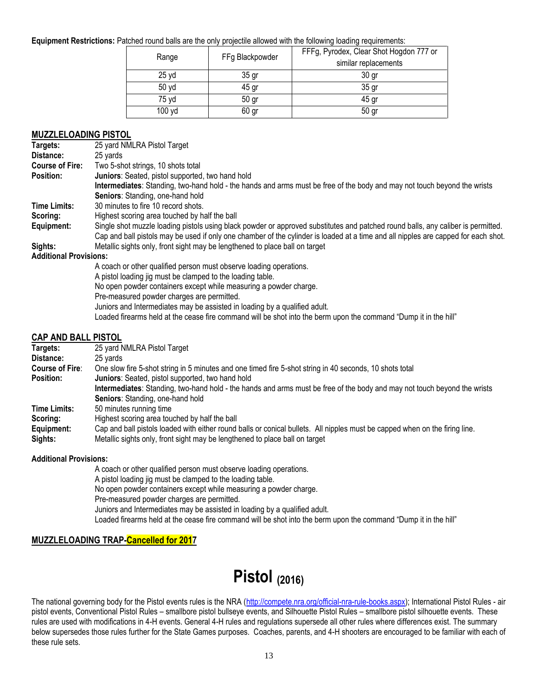#### **Equipment Restrictions:** Patched round balls are the only projectile allowed with the following loading requirements:

| Range  | FFg Blackpowder  | FFFg, Pyrodex, Clear Shot Hogdon 777 or<br>similar replacements |
|--------|------------------|-----------------------------------------------------------------|
| 25 yd  | 35 <sub>gr</sub> | 30 <sub>gr</sub>                                                |
| 50 yd  | 45 gr            | 35 <sub>gr</sub>                                                |
| 75 yd  | 50 <sub>gr</sub> | 45 gr                                                           |
| 100 yd | 60 gr            | 50 gr                                                           |

#### **MUZZLELOADING PISTOL**

| Targets:                                                                                                                                                                                                                                                                  | --------------<br>25 yard NMLRA Pistol Target                                                                                      |
|---------------------------------------------------------------------------------------------------------------------------------------------------------------------------------------------------------------------------------------------------------------------------|------------------------------------------------------------------------------------------------------------------------------------|
| Distance:                                                                                                                                                                                                                                                                 | 25 yards                                                                                                                           |
| <b>Course of Fire:</b>                                                                                                                                                                                                                                                    | Two 5-shot strings, 10 shots total                                                                                                 |
| Position:                                                                                                                                                                                                                                                                 | Juniors: Seated, pistol supported, two hand hold                                                                                   |
|                                                                                                                                                                                                                                                                           | Intermediates: Standing, two-hand hold - the hands and arms must be free of the body and may not touch beyond the wrists           |
|                                                                                                                                                                                                                                                                           | Seniors: Standing, one-hand hold                                                                                                   |
| <b>Time Limits:</b>                                                                                                                                                                                                                                                       | 30 minutes to fire 10 record shots.                                                                                                |
| Scoring:                                                                                                                                                                                                                                                                  | Highest scoring area touched by half the ball                                                                                      |
| Equipment:                                                                                                                                                                                                                                                                | Single shot muzzle loading pistols using black powder or approved substitutes and patched round balls, any caliber is permitted.   |
|                                                                                                                                                                                                                                                                           | Cap and ball pistols may be used if only one chamber of the cylinder is loaded at a time and all nipples are capped for each shot. |
| Sights:                                                                                                                                                                                                                                                                   | Metallic sights only, front sight may be lengthened to place ball on target                                                        |
| <b>Additional Provisions:</b>                                                                                                                                                                                                                                             |                                                                                                                                    |
|                                                                                                                                                                                                                                                                           | A coach or other qualified person must observe loading operations.                                                                 |
|                                                                                                                                                                                                                                                                           | A pistol loading jig must be clamped to the loading table.                                                                         |
|                                                                                                                                                                                                                                                                           | No open powder containers except while measuring a powder charge.                                                                  |
|                                                                                                                                                                                                                                                                           | Pre-measured powder charges are permitted.                                                                                         |
|                                                                                                                                                                                                                                                                           | Juniors and Intermediates may be assisted in loading by a qualified adult.                                                         |
|                                                                                                                                                                                                                                                                           | Loaded firearms held at the cease fire command will be shot into the berm upon the command "Dump it in the hill"                   |
| $\mathsf{A}$ is a set of $\mathsf{A}$ is a set of $\mathsf{A}$ is a set of $\mathsf{A}$ is a set of $\mathsf{A}$ is a set of $\mathsf{A}$ is a set of $\mathsf{A}$ is a set of $\mathsf{A}$ is a set of $\mathsf{A}$ is a set of $\mathsf{A}$ is a set of $\mathsf{A}$ is |                                                                                                                                    |

#### **CAP AND BALL PISTOL**

| Targets:               | 25 yard NMLRA Pistol Target                                                                                                 |
|------------------------|-----------------------------------------------------------------------------------------------------------------------------|
| Distance:              | 25 yards                                                                                                                    |
| <b>Course of Fire:</b> | One slow fire 5-shot string in 5 minutes and one timed fire 5-shot string in 40 seconds, 10 shots total                     |
| <b>Position:</b>       | Juniors: Seated, pistol supported, two hand hold                                                                            |
|                        | Intermediates: Standing, two-hand hold - the hands and arms must be free of the body and may not touch beyond the wrists    |
|                        | Seniors: Standing, one-hand hold                                                                                            |
| <b>Time Limits:</b>    | 50 minutes running time                                                                                                     |
| Scoring:               | Highest scoring area touched by half the ball                                                                               |
| Equipment:             | Cap and ball pistols loaded with either round balls or conical bullets. All nipples must be capped when on the firing line. |
| Sights:                | Metallic sights only, front sight may be lengthened to place ball on target                                                 |

#### **Additional Provisions:**

A coach or other qualified person must observe loading operations. A pistol loading jig must be clamped to the loading table. No open powder containers except while measuring a powder charge. Pre-measured powder charges are permitted. Juniors and Intermediates may be assisted in loading by a qualified adult. Loaded firearms held at the cease fire command will be shot into the berm upon the command "Dump it in the hill"

#### **MUZZLELOADING TRAP-Cancelled for 2017**

## **Pistol (2016)**

The national governing body for the Pistol events rules is the NRA [\(http://compete.nra.org/official-nra-rule-books.aspx\)](http://compete.nra.org/official-nra-rule-books.aspx); International Pistol Rules - air pistol events, Conventional Pistol Rules – smallbore pistol bullseye events, and Silhouette Pistol Rules – smallbore pistol silhouette events. These rules are used with modifications in 4-H events. General 4-H rules and regulations supersede all other rules where differences exist. The summary below supersedes those rules further for the State Games purposes. Coaches, parents, and 4-H shooters are encouraged to be familiar with each of these rule sets.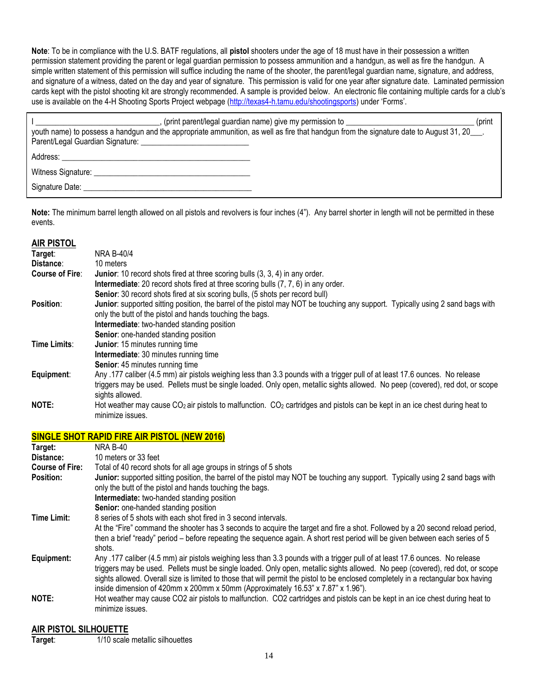**Note**: To be in compliance with the U.S. BATF regulations, all **pistol** shooters under the age of 18 must have in their possession a written permission statement providing the parent or legal guardian permission to possess ammunition and a handgun, as well as fire the handgun. A simple written statement of this permission will suffice including the name of the shooter, the parent/legal guardian name, signature, and address, and signature of a witness, dated on the day and year of signature. This permission is valid for one year after signature date. Laminated permission cards kept with the pistol shooting kit are strongly recommended. A sample is provided below. An electronic file containing multiple cards for a club's use is available on the 4-H Shooting Sports Project webpage [\(http://texas4-h.tamu.edu/shootingsports](http://texas4-h.tamu.edu/shootingsports)) under 'Forms'.

| (print parent/legal guardian name) give my permission to<br>(print<br>youth name) to possess a handgun and the appropriate ammunition, as well as fire that handgun from the signature date to August 31, 20                   |  |
|--------------------------------------------------------------------------------------------------------------------------------------------------------------------------------------------------------------------------------|--|
|                                                                                                                                                                                                                                |  |
|                                                                                                                                                                                                                                |  |
| Signature Date: the contract of the contract of the contract of the contract of the contract of the contract of the contract of the contract of the contract of the contract of the contract of the contract of the contract o |  |

**Note:** The minimum barrel length allowed on all pistols and revolvers is four inches (4"). Any barrel shorter in length will not be permitted in these events.

#### **AIR PISTOL**

| Target:                | <b>NRA B-40/4</b>                                                                                                               |
|------------------------|---------------------------------------------------------------------------------------------------------------------------------|
| Distance:              | 10 meters                                                                                                                       |
| <b>Course of Fire:</b> | <b>Junior:</b> 10 record shots fired at three scoring bulls (3, 3, 4) in any order.                                             |
|                        | <b>Intermediate:</b> 20 record shots fired at three scoring bulls (7, 7, 6) in any order.                                       |
|                        | <b>Senior:</b> 30 record shots fired at six scoring bulls, (5 shots per record bull)                                            |
| Position:              | Junior: supported sitting position, the barrel of the pistol may NOT be touching any support. Typically using 2 sand bags with  |
|                        | only the butt of the pistol and hands touching the bags.                                                                        |
|                        | Intermediate: two-handed standing position                                                                                      |
|                        | Senior: one-handed standing position                                                                                            |
| Time Limits:           | Junior: 15 minutes running time                                                                                                 |
|                        | Intermediate: 30 minutes running time                                                                                           |
|                        | <b>Senior:</b> 45 minutes running time                                                                                          |
| Equipment:             | Any .177 caliber (4.5 mm) air pistols weighing less than 3.3 pounds with a trigger pull of at least 17.6 ounces. No release     |
|                        | triggers may be used. Pellets must be single loaded. Only open, metallic sights allowed. No peep (covered), red dot, or scope   |
|                        | sights allowed.                                                                                                                 |
| NOTE:                  | Hot weather may cause $CO2$ air pistols to malfunction. $CO2$ cartridges and pistols can be kept in an ice chest during heat to |
|                        | minimize issues.                                                                                                                |

#### **SINGLE SHOT RAPID FIRE AIR PISTOL (NEW 2016)**

| Target:                | <b>NRA B-40</b>                                                                                                                                                                                                                                                                                                                                                                                                                                                                        |
|------------------------|----------------------------------------------------------------------------------------------------------------------------------------------------------------------------------------------------------------------------------------------------------------------------------------------------------------------------------------------------------------------------------------------------------------------------------------------------------------------------------------|
| Distance:              | 10 meters or 33 feet                                                                                                                                                                                                                                                                                                                                                                                                                                                                   |
| <b>Course of Fire:</b> | Total of 40 record shots for all age groups in strings of 5 shots                                                                                                                                                                                                                                                                                                                                                                                                                      |
| Position:              | Junior: supported sitting position, the barrel of the pistol may NOT be touching any support. Typically using 2 sand bags with<br>only the butt of the pistol and hands touching the bags.                                                                                                                                                                                                                                                                                             |
|                        | Intermediate: two-handed standing position                                                                                                                                                                                                                                                                                                                                                                                                                                             |
|                        | Senior: one-handed standing position                                                                                                                                                                                                                                                                                                                                                                                                                                                   |
| <b>Time Limit:</b>     | 8 series of 5 shots with each shot fired in 3 second intervals.                                                                                                                                                                                                                                                                                                                                                                                                                        |
|                        | At the "Fire" command the shooter has 3 seconds to acquire the target and fire a shot. Followed by a 20 second reload period,<br>then a brief "ready" period – before repeating the sequence again. A short rest period will be given between each series of 5<br>shots.                                                                                                                                                                                                               |
| Equipment:             | Any .177 caliber (4.5 mm) air pistols weighing less than 3.3 pounds with a trigger pull of at least 17.6 ounces. No release<br>triggers may be used. Pellets must be single loaded. Only open, metallic sights allowed. No peep (covered), red dot, or scope<br>sights allowed. Overall size is limited to those that will permit the pistol to be enclosed completely in a rectangular box having<br>inside dimension of 420mm x 200mm x 50mm (Approximately 16.53" x 7.87" x 1.96"). |
| <b>NOTE:</b>           | Hot weather may cause CO2 air pistols to malfunction. CO2 cartridges and pistols can be kept in an ice chest during heat to<br>minimize issues.                                                                                                                                                                                                                                                                                                                                        |

#### **AIR PISTOL SILHOUETTE**

**Target**: 1/10 scale metallic silhouettes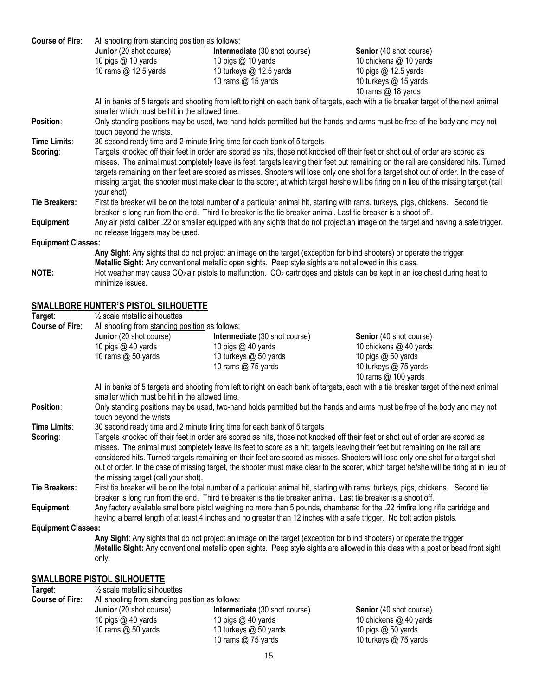| <b>Course of Fire:</b>    | All shooting from standing position as follows:                            |                                                                                                                                                                                                                                                         |                                                                                                                                          |
|---------------------------|----------------------------------------------------------------------------|---------------------------------------------------------------------------------------------------------------------------------------------------------------------------------------------------------------------------------------------------------|------------------------------------------------------------------------------------------------------------------------------------------|
|                           | Junior (20 shot course)                                                    | Intermediate (30 shot course)                                                                                                                                                                                                                           | Senior (40 shot course)                                                                                                                  |
|                           | 10 pigs @ 10 yards                                                         | 10 pigs @ 10 yards                                                                                                                                                                                                                                      | 10 chickens @ 10 yards                                                                                                                   |
|                           | 10 rams @ 12.5 yards                                                       | 10 turkeys @ 12.5 yards                                                                                                                                                                                                                                 | 10 pigs @ 12.5 yards                                                                                                                     |
|                           |                                                                            | 10 rams @ 15 yards                                                                                                                                                                                                                                      | 10 turkeys @ 15 yards                                                                                                                    |
|                           |                                                                            |                                                                                                                                                                                                                                                         | 10 rams @ 18 yards                                                                                                                       |
|                           | smaller which must be hit in the allowed time.                             |                                                                                                                                                                                                                                                         | All in banks of 5 targets and shooting from left to right on each bank of targets, each with a tie breaker target of the next animal     |
| Position:                 |                                                                            |                                                                                                                                                                                                                                                         | Only standing positions may be used, two-hand holds permitted but the hands and arms must be free of the body and may not                |
|                           | touch beyond the wrists.                                                   |                                                                                                                                                                                                                                                         |                                                                                                                                          |
| Time Limits:              |                                                                            | 30 second ready time and 2 minute firing time for each bank of 5 targets                                                                                                                                                                                |                                                                                                                                          |
| Scoring:                  |                                                                            | Targets knocked off their feet in order are scored as hits, those not knocked off their feet or shot out of order are scored as                                                                                                                         |                                                                                                                                          |
|                           |                                                                            |                                                                                                                                                                                                                                                         | misses. The animal must completely leave its feet; targets leaving their feet but remaining on the rail are considered hits. Turned      |
|                           |                                                                            |                                                                                                                                                                                                                                                         | targets remaining on their feet are scored as misses. Shooters will lose only one shot for a target shot out of order. In the case of    |
|                           |                                                                            |                                                                                                                                                                                                                                                         | missing target, the shooter must make clear to the scorer, at which target he/she will be firing on n lieu of the missing target (call   |
|                           | your shot).                                                                |                                                                                                                                                                                                                                                         |                                                                                                                                          |
| <b>Tie Breakers:</b>      |                                                                            | First tie breaker will be on the total number of a particular animal hit, starting with rams, turkeys, pigs, chickens. Second tie<br>breaker is long run from the end. Third tie breaker is the tie breaker animal. Last tie breaker is a shoot off.    |                                                                                                                                          |
| Equipment:                |                                                                            |                                                                                                                                                                                                                                                         | Any air pistol caliber .22 or smaller equipped with any sights that do not project an image on the target and having a safe trigger,     |
|                           | no release triggers may be used.                                           |                                                                                                                                                                                                                                                         |                                                                                                                                          |
| <b>Equipment Classes:</b> |                                                                            |                                                                                                                                                                                                                                                         |                                                                                                                                          |
|                           |                                                                            | Any Sight: Any sights that do not project an image on the target (exception for blind shooters) or operate the trigger                                                                                                                                  |                                                                                                                                          |
|                           |                                                                            | Metallic Sight: Any conventional metallic open sights. Peep style sights are not allowed in this class.                                                                                                                                                 |                                                                                                                                          |
| NOTE:                     |                                                                            | Hot weather may cause CO <sub>2</sub> air pistols to malfunction. CO <sub>2</sub> cartridges and pistols can be kept in an ice chest during heat to                                                                                                     |                                                                                                                                          |
|                           | minimize issues.                                                           |                                                                                                                                                                                                                                                         |                                                                                                                                          |
|                           |                                                                            |                                                                                                                                                                                                                                                         |                                                                                                                                          |
|                           | <b>SMALLBORE HUNTER'S PISTOL SILHOUETTE</b>                                |                                                                                                                                                                                                                                                         |                                                                                                                                          |
| Target:                   | $\frac{1}{2}$ scale metallic silhouettes                                   |                                                                                                                                                                                                                                                         |                                                                                                                                          |
| <b>Course of Fire:</b>    | All shooting from standing position as follows:<br>Junior (20 shot course) | Intermediate (30 shot course)                                                                                                                                                                                                                           | Senior (40 shot course)                                                                                                                  |
|                           | 10 pigs @ 40 yards                                                         | 10 pigs @ 40 yards                                                                                                                                                                                                                                      | 10 chickens @ 40 yards                                                                                                                   |
|                           | 10 rams @ 50 yards                                                         | 10 turkeys @ 50 yards                                                                                                                                                                                                                                   | 10 pigs @ 50 yards                                                                                                                       |
|                           |                                                                            | 10 rams @ 75 yards                                                                                                                                                                                                                                      | 10 turkeys @ 75 yards                                                                                                                    |
|                           |                                                                            |                                                                                                                                                                                                                                                         | 10 rams @ 100 yards                                                                                                                      |
|                           |                                                                            |                                                                                                                                                                                                                                                         | All in banks of 5 targets and shooting from left to right on each bank of targets, each with a tie breaker target of the next animal     |
|                           | smaller which must be hit in the allowed time.                             |                                                                                                                                                                                                                                                         |                                                                                                                                          |
| Position:                 | touch beyond the wrists                                                    |                                                                                                                                                                                                                                                         | Only standing positions may be used, two-hand holds permitted but the hands and arms must be free of the body and may not                |
| Time Limits:              |                                                                            | 30 second ready time and 2 minute firing time for each bank of 5 targets                                                                                                                                                                                |                                                                                                                                          |
| Scoring:                  |                                                                            | Targets knocked off their feet in order are scored as hits, those not knocked off their feet or shot out of order are scored as                                                                                                                         |                                                                                                                                          |
|                           |                                                                            | misses. The animal must completely leave its feet to score as a hit; targets leaving their feet but remaining on the rail are                                                                                                                           |                                                                                                                                          |
|                           |                                                                            |                                                                                                                                                                                                                                                         | considered hits. Turned targets remaining on their feet are scored as misses. Shooters will lose only one shot for a target shot         |
|                           |                                                                            |                                                                                                                                                                                                                                                         | out of order. In the case of missing target, the shooter must make clear to the scorer, which target he/she will be firing at in lieu of |
|                           | the missing target (call your shot).                                       |                                                                                                                                                                                                                                                         |                                                                                                                                          |
| <b>Tie Breakers:</b>      |                                                                            | First tie breaker will be on the total number of a particular animal hit, starting with rams, turkeys, pigs, chickens. Second tie                                                                                                                       |                                                                                                                                          |
|                           |                                                                            | breaker is long run from the end. Third tie breaker is the tie breaker animal. Last tie breaker is a shoot off.                                                                                                                                         |                                                                                                                                          |
| Equipment:                |                                                                            | Any factory available smallbore pistol weighing no more than 5 pounds, chambered for the .22 rimfire long rifle cartridge and<br>having a barrel length of at least 4 inches and no greater than 12 inches with a safe trigger. No bolt action pistols. |                                                                                                                                          |
| <b>Equipment Classes:</b> |                                                                            |                                                                                                                                                                                                                                                         |                                                                                                                                          |
|                           |                                                                            | Any Sight: Any sights that do not project an image on the target (exception for blind shooters) or operate the trigger                                                                                                                                  |                                                                                                                                          |
|                           |                                                                            |                                                                                                                                                                                                                                                         | Metallic Sight: Any conventional metallic open sights. Peep style sights are allowed in this class with a post or bead front sight       |
|                           | only.                                                                      |                                                                                                                                                                                                                                                         |                                                                                                                                          |
|                           |                                                                            |                                                                                                                                                                                                                                                         |                                                                                                                                          |
|                           | <b>SMALLBORE PISTOL SILHOUETTE</b>                                         |                                                                                                                                                                                                                                                         |                                                                                                                                          |

| Target:                | $\frac{1}{2}$ scale metallic silhouettes        |                                      |                                |  |
|------------------------|-------------------------------------------------|--------------------------------------|--------------------------------|--|
| <b>Course of Fire:</b> | All shooting from standing position as follows: |                                      |                                |  |
|                        | <b>Junior</b> (20 shot course)                  | <b>Intermediate</b> (30 shot course) | <b>Senior</b> (40 shot course) |  |
|                        | 10 pigs $@$ 40 yards                            | 10 pigs $@$ 40 yards                 | 10 chickens @ 40 yards         |  |
|                        | 10 rams $@$ 50 yards                            | 10 turkeys @ 50 yards                | 10 pigs $@$ 50 yards           |  |
|                        |                                                 | 10 rams $@$ 75 yards                 | 10 turkeys @ 75 yards          |  |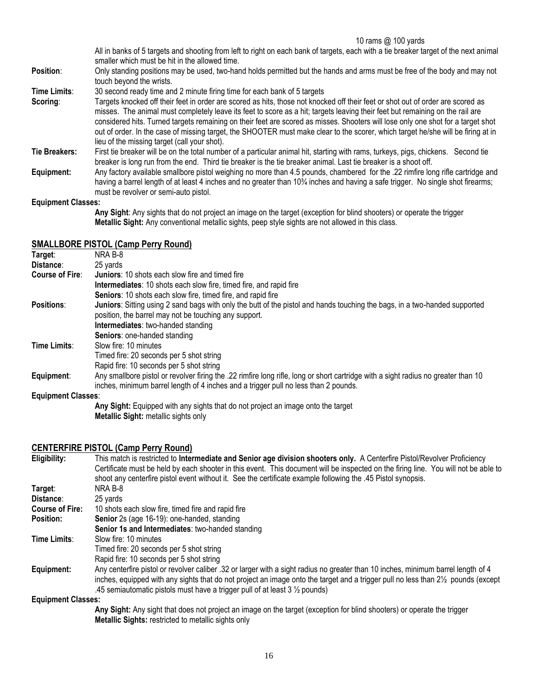10 rams @ 100 yards

All in banks of 5 targets and shooting from left to right on each bank of targets, each with a tie breaker target of the next animal smaller which must be hit in the allowed time.

**Position**: Only standing positions may be used, two-hand holds permitted but the hands and arms must be free of the body and may not touch beyond the wrists.

**Time Limits**: 30 second ready time and 2 minute firing time for each bank of 5 targets

**Scoring**: Targets knocked off their feet in order are scored as hits, those not knocked off their feet or shot out of order are scored as misses. The animal must completely leave its feet to score as a hit; targets leaving their feet but remaining on the rail are considered hits. Turned targets remaining on their feet are scored as misses. Shooters will lose only one shot for a target shot out of order. In the case of missing target, the SHOOTER must make clear to the scorer, which target he/she will be firing at in lieu of the missing target (call your shot).

**Tie Breakers:** First tie breaker will be on the total number of a particular animal hit, starting with rams, turkeys, pigs, chickens. Second tie breaker is long run from the end. Third tie breaker is the tie breaker animal. Last tie breaker is a shoot off.

**Equipment:** Any factory available smallbore pistol weighing no more than 4.5 pounds, chambered for the .22 rimfire long rifle cartridge and having a barrel length of at least 4 inches and no greater than 10<sup>3</sup>/4 inches and having a safe trigger. No single shot firearms; must be revolver or semi-auto pistol.

#### **Equipment Classes:**

**Any Sight**: Any sights that do not project an image on the target (exception for blind shooters) or operate the trigger **Metallic Sight:** Any conventional metallic sights, peep style sights are not allowed in this class.

#### **SMALLBORE PISTOL (Camp Perry Round)**

| Target:                   | NRA B-8                                                                                                                            |
|---------------------------|------------------------------------------------------------------------------------------------------------------------------------|
| Distance:                 | 25 yards                                                                                                                           |
| <b>Course of Fire:</b>    | <b>Juniors:</b> 10 shots each slow fire and timed fire                                                                             |
|                           | Intermediates: 10 shots each slow fire, timed fire, and rapid fire                                                                 |
|                           | <b>Seniors:</b> 10 shots each slow fire, timed fire, and rapid fire                                                                |
| <b>Positions:</b>         | Juniors: Sitting using 2 sand bags with only the butt of the pistol and hands touching the bags, in a two-handed supported         |
|                           | position, the barrel may not be touching any support.                                                                              |
|                           | <b>Intermediates:</b> two-handed standing                                                                                          |
|                           | Seniors: one-handed standing                                                                                                       |
| Time Limits:              | Slow fire: 10 minutes                                                                                                              |
|                           | Timed fire: 20 seconds per 5 shot string                                                                                           |
|                           | Rapid fire: 10 seconds per 5 shot string                                                                                           |
| Equipment:                | Any smallbore pistol or revolver firing the .22 rimfire long rifle, long or short cartridge with a sight radius no greater than 10 |
|                           | inches, minimum barrel length of 4 inches and a trigger pull no less than 2 pounds.                                                |
| <b>Equipment Classes:</b> |                                                                                                                                    |
|                           |                                                                                                                                    |

**Any Sight:** Equipped with any sights that do not project an image onto the target **Metallic Sight:** metallic sights only

#### **CENTERFIRE PISTOL (Camp Perry Round)**

| Eligibility:              | This match is restricted to Intermediate and Senior age division shooters only. A Centerfire Pistol/Revolver Proficiency            |
|---------------------------|-------------------------------------------------------------------------------------------------------------------------------------|
|                           | Certificate must be held by each shooter in this event. This document will be inspected on the firing line. You will not be able to |
|                           | shoot any centerfire pistol event without it. See the certificate example following the .45 Pistol synopsis.                        |
| Target:                   | NRA B-8                                                                                                                             |
| Distance:                 | 25 yards                                                                                                                            |
| <b>Course of Fire:</b>    | 10 shots each slow fire, timed fire and rapid fire                                                                                  |
| <b>Position:</b>          | Senior 2s (age 16-19): one-handed, standing                                                                                         |
|                           | <b>Senior 1s and Intermediates:</b> two-handed standing                                                                             |
| Time Limits:              | Slow fire: 10 minutes                                                                                                               |
|                           | Timed fire: 20 seconds per 5 shot string                                                                                            |
|                           | Rapid fire: 10 seconds per 5 shot string                                                                                            |
| Equipment:                | Any centerfire pistol or revolver caliber .32 or larger with a sight radius no greater than 10 inches, minimum barrel length of 4   |
|                           | inches, equipped with any sights that do not project an image onto the target and a trigger pull no less than 21/2 pounds (except   |
|                           | .45 semiautomatic pistols must have a trigger pull of at least $3\frac{1}{2}$ pounds)                                               |
| <b>Equipment Classes:</b> |                                                                                                                                     |
|                           | Any Sight: Any sight that does not project an image on the target (exception for blind shooters) or operate the trigger             |

**Any Sight:** Any sight that does not project an image on the target (exception for blind shooters) or operate the trigger **Metallic Sights:** restricted to metallic sights only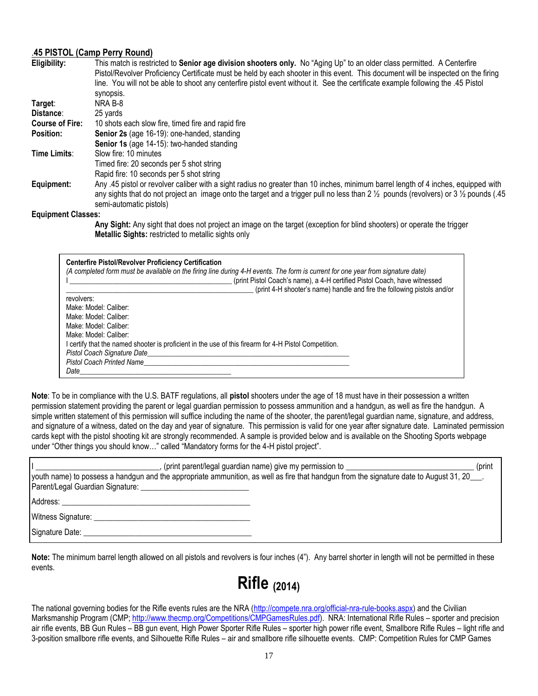#### .**45 PISTOL (Camp Perry Round)**

| Eligibility:           | This match is restricted to Senior age division shooters only. No "Aging Up" to an older class permitted. A Centerfire                                    |
|------------------------|-----------------------------------------------------------------------------------------------------------------------------------------------------------|
|                        | Pistol/Revolver Proficiency Certificate must be held by each shooter in this event. This document will be inspected on the firing                         |
|                        | line. You will not be able to shoot any centerfire pistol event without it. See the certificate example following the .45 Pistol                          |
|                        | synopsis.                                                                                                                                                 |
| Target:                | NRA B-8                                                                                                                                                   |
| Distance:              | 25 yards                                                                                                                                                  |
| <b>Course of Fire:</b> | 10 shots each slow fire, timed fire and rapid fire                                                                                                        |
| Position:              | Senior 2s (age 16-19): one-handed, standing                                                                                                               |
|                        | Senior 1s (age 14-15): two-handed standing                                                                                                                |
| Time Limits:           | Slow fire: 10 minutes                                                                                                                                     |
|                        | Timed fire: 20 seconds per 5 shot string                                                                                                                  |
|                        | Rapid fire: 10 seconds per 5 shot string                                                                                                                  |
| Equipment:             | Any .45 pistol or revolver caliber with a sight radius no greater than 10 inches, minimum barrel length of 4 inches, equipped with                        |
|                        | any sights that do not project an image onto the target and a trigger pull no less than 2 $\frac{1}{2}$ pounds (revolvers) or 3 $\frac{1}{2}$ pounds (.45 |
|                        | semi-automatic pistols)                                                                                                                                   |
| Faulance of Olessan    |                                                                                                                                                           |

**Equipment Classes:**

**Any Sight:** Any sight that does not project an image on the target (exception for blind shooters) or operate the trigger **Metallic Sights:** restricted to metallic sights only

| <b>Centerfire Pistol/Revolver Proficiency Certification</b><br>(A completed form must be available on the firing line during 4-H events. The form is current for one year from signature date) |
|------------------------------------------------------------------------------------------------------------------------------------------------------------------------------------------------|
| (print Pistol Coach's name), a 4-H certified Pistol Coach, have witnessed                                                                                                                      |
| (print 4-H shooter's name) handle and fire the following pistols and/or                                                                                                                        |
| revolvers:                                                                                                                                                                                     |
| Make: Model: Caliber:                                                                                                                                                                          |
| Make: Model: Caliber:                                                                                                                                                                          |
| Make: Model: Caliber:                                                                                                                                                                          |
| Make: Model: Caliber:                                                                                                                                                                          |
| I certify that the named shooter is proficient in the use of this firearm for 4-H Pistol Competition.                                                                                          |
| Pistol Coach Signature Date_                                                                                                                                                                   |
| <b>Pistol Coach Printed Name</b>                                                                                                                                                               |
| Date                                                                                                                                                                                           |

**Note**: To be in compliance with the U.S. BATF regulations, all **pistol** shooters under the age of 18 must have in their possession a written permission statement providing the parent or legal guardian permission to possess ammunition and a handgun, as well as fire the handgun. A simple written statement of this permission will suffice including the name of the shooter, the parent/legal guardian name, signature, and address, and signature of a witness, dated on the day and year of signature. This permission is valid for one year after signature date. Laminated permission cards kept with the pistol shooting kit are strongly recommended. A sample is provided below and is available on the Shooting Sports webpage under "Other things you should know…" called "Mandatory forms for the 4-H pistol project".

| (print parent/legal guardian name) give my permission to<br>(print<br>(youth name) to possess a handgun and the appropriate ammunition, as well as fire that handgun from the signature date to August 31, 20<br>Parent/Legal Guardian Signature: |
|---------------------------------------------------------------------------------------------------------------------------------------------------------------------------------------------------------------------------------------------------|
| Address:                                                                                                                                                                                                                                          |
| Witness Signature:                                                                                                                                                                                                                                |
| Signature Date:                                                                                                                                                                                                                                   |

**Note:** The minimum barrel length allowed on all pistols and revolvers is four inches (4"). Any barrel shorter in length will not be permitted in these events.

## **Rifle (2014)**

The national governing bodies for the Rifle events rules are the NRA [\(http://compete.nra.org/official-nra-rule-books.aspx\)](http://compete.nra.org/official-nra-rule-books.aspx) and the Civilian Marksmanship Program (CMP; [http://www.thecmp.org/Competitions/CMPGamesRules.pdf\)](http://www.thecmp.org/Competitions/CMPGamesRules.pdf). NRA: International Rifle Rules – sporter and precision air rifle events, BB Gun Rules – BB gun event, High Power Sporter Rifle Rules – sporter high power rifle event, Smallbore Rifle Rules – light rifle and 3-position smallbore rifle events, and Silhouette Rifle Rules – air and smallbore rifle silhouette events. CMP: Competition Rules for CMP Games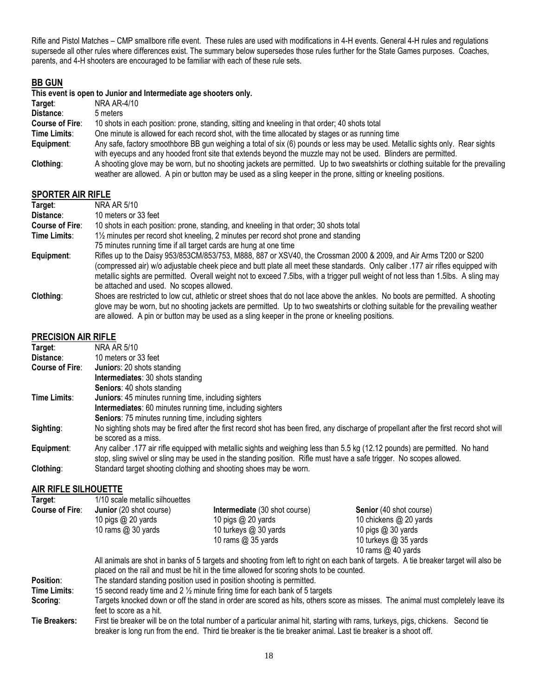Rifle and Pistol Matches – CMP smallbore rifle event. These rules are used with modifications in 4-H events. General 4-H rules and regulations supersede all other rules where differences exist. The summary below supersedes those rules further for the State Games purposes. Coaches, parents, and 4-H shooters are encouraged to be familiar with each of these rule sets.

#### **BB GUN**

|                        | This event is open to Junior and Intermediate age shooters only.                                                                                                                                                                                      |  |  |
|------------------------|-------------------------------------------------------------------------------------------------------------------------------------------------------------------------------------------------------------------------------------------------------|--|--|
| Target:                | NRA AR-4/10                                                                                                                                                                                                                                           |  |  |
| Distance:              | 5 meters                                                                                                                                                                                                                                              |  |  |
| <b>Course of Fire:</b> | 10 shots in each position: prone, standing, sitting and kneeling in that order; 40 shots total                                                                                                                                                        |  |  |
| Time Limits:           | One minute is allowed for each record shot, with the time allocated by stages or as running time                                                                                                                                                      |  |  |
| Equipment:             | Any safe, factory smoothbore BB gun weighing a total of six (6) pounds or less may be used. Metallic sights only. Rear sights<br>with eyecups and any hooded front site that extends beyond the muzzle may not be used. Blinders are permitted.       |  |  |
| Clothing:              | A shooting glove may be worn, but no shooting jackets are permitted. Up to two sweatshirts or clothing suitable for the prevailing<br>weather are allowed. A pin or button may be used as a sling keeper in the prone, sitting or kneeling positions. |  |  |
| SDODTED AID DIELE      |                                                                                                                                                                                                                                                       |  |  |

#### **SPORTER AIR RIFLE**

| Target:                | NRA AR 5/10                                                                                                                         |
|------------------------|-------------------------------------------------------------------------------------------------------------------------------------|
| Distance:              | 10 meters or 33 feet                                                                                                                |
| <b>Course of Fire:</b> | 10 shots in each position: prone, standing, and kneeling in that order; 30 shots total                                              |
| Time Limits:           | 1/2 minutes per record shot kneeling, 2 minutes per record shot prone and standing                                                  |
|                        | 75 minutes running time if all target cards are hung at one time                                                                    |
| Equipment:             | Rifles up to the Daisy 953/853CM/853/753, M888, 887 or XSV40, the Crossman 2000 & 2009, and Air Arms T200 or S200                   |
|                        | (compressed air) w/o adjustable cheek piece and butt plate all meet these standards. Only caliber .177 air rifles equipped with     |
|                        | metallic sights are permitted. Overall weight not to exceed 7.5lbs, with a trigger pull weight of not less than 1.5lbs. A sling may |
|                        | be attached and used. No scopes allowed.                                                                                            |
| Clothing:              | Shoes are restricted to low cut, athletic or street shoes that do not lace above the ankles. No boots are permitted. A shooting     |
|                        | glove may be worn, but no shooting jackets are permitted. Up to two sweatshirts or clothing suitable for the prevailing weather     |
|                        | are allowed. A pin or button may be used as a sling keeper in the prone or kneeling positions.                                      |

#### **PRECISION AIR RIFLE**

| Target:                | NRA AR 5/10                                                                                                                                                                                                                                          |
|------------------------|------------------------------------------------------------------------------------------------------------------------------------------------------------------------------------------------------------------------------------------------------|
| Distance:              | 10 meters or 33 feet                                                                                                                                                                                                                                 |
| <b>Course of Fire:</b> | Juniors: 20 shots standing                                                                                                                                                                                                                           |
|                        | <b>Intermediates: 30 shots standing</b>                                                                                                                                                                                                              |
|                        | <b>Seniors: 40 shots standing</b>                                                                                                                                                                                                                    |
| Time Limits:           | <b>Juniors: 45 minutes running time, including sighters</b>                                                                                                                                                                                          |
|                        | Intermediates: 60 minutes running time, including sighters                                                                                                                                                                                           |
|                        | <b>Seniors: 75 minutes running time, including sighters</b>                                                                                                                                                                                          |
| Sighting:              | No sighting shots may be fired after the first record shot has been fired, any discharge of propellant after the first record shot will<br>be scored as a miss.                                                                                      |
| Equipment:             | Any caliber .177 air rifle equipped with metallic sights and weighing less than 5.5 kg (12.12 pounds) are permitted. No hand<br>stop, sling swivel or sling may be used in the standing position. Rifle must have a safe trigger. No scopes allowed. |
| Clothing:              | Standard target shooting clothing and shooting shoes may be worn.                                                                                                                                                                                    |

#### **AIR RIFLE SILHOUETTE**

| Target:                | 1/10 scale metallic silhouettes                                                                                                                                                                                                  |                                                                                                                                                                                                                                           |                                                                                                                                 |  |
|------------------------|----------------------------------------------------------------------------------------------------------------------------------------------------------------------------------------------------------------------------------|-------------------------------------------------------------------------------------------------------------------------------------------------------------------------------------------------------------------------------------------|---------------------------------------------------------------------------------------------------------------------------------|--|
| <b>Course of Fire:</b> | Junior (20 shot course)                                                                                                                                                                                                          | Intermediate (30 shot course)                                                                                                                                                                                                             | Senior (40 shot course)                                                                                                         |  |
|                        | 10 pigs $@$ 20 yards                                                                                                                                                                                                             | 10 pigs $@$ 20 yards                                                                                                                                                                                                                      | 10 chickens @ 20 yards                                                                                                          |  |
|                        | 10 rams $@30$ yards                                                                                                                                                                                                              | 10 turkeys @ 30 yards                                                                                                                                                                                                                     | 10 pigs $@30$ yards                                                                                                             |  |
|                        |                                                                                                                                                                                                                                  | 10 rams @ 35 yards                                                                                                                                                                                                                        | 10 turkeys @ 35 yards                                                                                                           |  |
|                        |                                                                                                                                                                                                                                  |                                                                                                                                                                                                                                           | 10 rams $@$ 40 yards                                                                                                            |  |
|                        | All animals are shot in banks of 5 targets and shooting from left to right on each bank of targets. A tie breaker target will also be<br>placed on the rail and must be hit in the time allowed for scoring shots to be counted. |                                                                                                                                                                                                                                           |                                                                                                                                 |  |
| <b>Position:</b>       | The standard standing position used in position shooting is permitted.                                                                                                                                                           |                                                                                                                                                                                                                                           |                                                                                                                                 |  |
| Time Limits:           |                                                                                                                                                                                                                                  | 15 second ready time and 2 1/2 minute firing time for each bank of 5 targets                                                                                                                                                              |                                                                                                                                 |  |
| Scoring:               | feet to score as a hit.                                                                                                                                                                                                          |                                                                                                                                                                                                                                           | Targets knocked down or off the stand in order are scored as hits, others score as misses. The animal must completely leave its |  |
| <b>Tie Breakers:</b>   |                                                                                                                                                                                                                                  | First tie breaker will be on the total number of a particular animal hit, starting with rams, turkeys, pigs, chickens.<br>breaker is long run from the end. Third tie breaker is the tie breaker animal. Last tie breaker is a shoot off. | Second tie                                                                                                                      |  |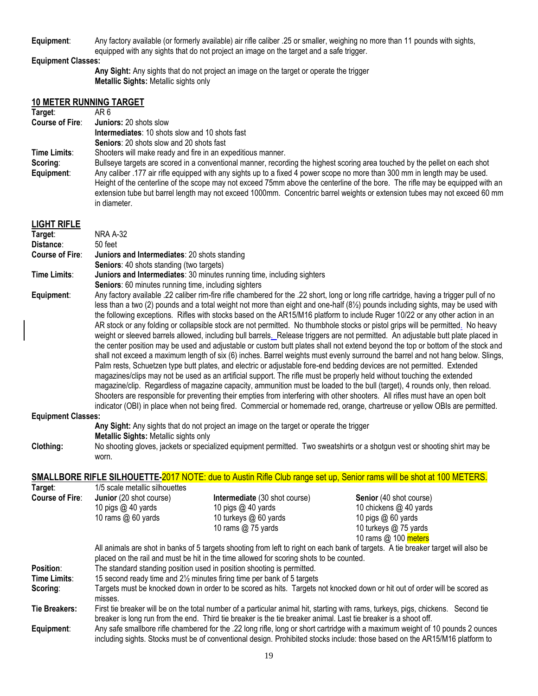**Equipment**: Any factory available (or formerly available) air rifle caliber .25 or smaller, weighing no more than 11 pounds with sights, equipped with any sights that do not project an image on the target and a safe trigger.

#### **Equipment Classes:**

**Any Sight:** Any sights that do not project an image on the target or operate the trigger **Metallic Sights:** Metallic sights only

#### **10 METER RUNNING TARGET Target: Course of Fire**: **Juniors:** 20 shots slow **Intermediates**: 10 shots slow and 10 shots fast **Seniors**: 20 shots slow and 20 shots fast **Time Limits**: Shooters will make ready and fire in an expeditious manner. **Scoring:** Bullseye targets are scored in a conventional manner, recording the highest scoring area touched by the pellet on each shot **Equipment**: Any caliber .177 air rifle equipped with any sights up to a fixed 4 power scope no more than 300 mm in length may be used. Height of the centerline of the scope may not exceed 75mm above the centerline of the bore. The rifle may be equipped with an extension tube but barrel length may not exceed 1000mm. Concentric barrel weights or extension tubes may not exceed 60 mm in diameter. **LIGHT RIFLE**

| LIGHT KILLE               |                                                                                                                                     |                                                                                                                                                                   |                                                                                                                                         |  |
|---------------------------|-------------------------------------------------------------------------------------------------------------------------------------|-------------------------------------------------------------------------------------------------------------------------------------------------------------------|-----------------------------------------------------------------------------------------------------------------------------------------|--|
| Target:                   | <b>NRA A-32</b>                                                                                                                     |                                                                                                                                                                   |                                                                                                                                         |  |
| Distance:                 | 50 feet                                                                                                                             |                                                                                                                                                                   |                                                                                                                                         |  |
| <b>Course of Fire:</b>    | Juniors and Intermediates: 20 shots standing                                                                                        |                                                                                                                                                                   |                                                                                                                                         |  |
| Time Limits:              | <b>Seniors: 40 shots standing (two targets)</b>                                                                                     |                                                                                                                                                                   |                                                                                                                                         |  |
|                           | Juniors and Intermediates: 30 minutes running time, including sighters<br>Seniors: 60 minutes running time, including sighters      |                                                                                                                                                                   |                                                                                                                                         |  |
| Equipment:                |                                                                                                                                     |                                                                                                                                                                   | Any factory available .22 caliber rim-fire rifle chambered for the .22 short, long or long rifle cartridge, having a trigger pull of no |  |
|                           |                                                                                                                                     |                                                                                                                                                                   | less than a two (2) pounds and a total weight not more than eight and one-half (81/2) pounds including sights, may be used with         |  |
|                           |                                                                                                                                     |                                                                                                                                                                   | the following exceptions. Rifles with stocks based on the AR15/M16 platform to include Ruger 10/22 or any other action in an            |  |
|                           |                                                                                                                                     |                                                                                                                                                                   | AR stock or any folding or collapsible stock are not permitted. No thumbhole stocks or pistol grips will be permitted. No heavy         |  |
|                           |                                                                                                                                     |                                                                                                                                                                   | weight or sleeved barrels allowed, including bull barrels. Release triggers are not permitted. An adjustable butt plate placed in       |  |
|                           |                                                                                                                                     |                                                                                                                                                                   | the center position may be used and adjustable or custom butt plates shall not extend beyond the top or bottom of the stock and         |  |
|                           |                                                                                                                                     |                                                                                                                                                                   | shall not exceed a maximum length of six (6) inches. Barrel weights must evenly surround the barrel and not hang below. Slings,         |  |
|                           |                                                                                                                                     |                                                                                                                                                                   | Palm rests, Schuetzen type butt plates, and electric or adjustable fore-end bedding devices are not permitted. Extended                 |  |
|                           |                                                                                                                                     |                                                                                                                                                                   | magazines/clips may not be used as an artificial support. The rifle must be properly held without touching the extended                 |  |
|                           |                                                                                                                                     |                                                                                                                                                                   | magazine/clip. Regardless of magazine capacity, ammunition must be loaded to the bull (target), 4 rounds only, then reload.             |  |
|                           |                                                                                                                                     |                                                                                                                                                                   | Shooters are responsible for preventing their empties from interfering with other shooters. All rifles must have an open bolt           |  |
|                           |                                                                                                                                     |                                                                                                                                                                   | indicator (OBI) in place when not being fired. Commercial or homemade red, orange, chartreuse or yellow OBIs are permitted.             |  |
| <b>Equipment Classes:</b> |                                                                                                                                     | Any Sight: Any sights that do not project an image on the target or operate the trigger                                                                           |                                                                                                                                         |  |
|                           | Metallic Sights: Metallic sights only                                                                                               |                                                                                                                                                                   |                                                                                                                                         |  |
| Clothing:                 |                                                                                                                                     |                                                                                                                                                                   |                                                                                                                                         |  |
|                           | No shooting gloves, jackets or specialized equipment permitted. Two sweatshirts or a shotgun vest or shooting shirt may be<br>worn. |                                                                                                                                                                   |                                                                                                                                         |  |
|                           |                                                                                                                                     |                                                                                                                                                                   |                                                                                                                                         |  |
|                           |                                                                                                                                     |                                                                                                                                                                   | SMALLBORE RIFLE SILHOUETTE-2017 NOTE: due to Austin Rifle Club range set up, Senior rams will be shot at 100 METERS.                    |  |
| Target:                   | 1/5 scale metallic silhouettes                                                                                                      |                                                                                                                                                                   |                                                                                                                                         |  |
| <b>Course of Fire:</b>    | Junior (20 shot course)                                                                                                             | Intermediate (30 shot course)                                                                                                                                     | Senior (40 shot course)                                                                                                                 |  |
|                           | 10 pigs @ 40 yards                                                                                                                  | 10 pigs @ 40 yards                                                                                                                                                | 10 chickens @ 40 yards                                                                                                                  |  |
|                           | 10 rams @ 60 yards                                                                                                                  | 10 turkeys @ 60 yards                                                                                                                                             | 10 pigs @ 60 yards                                                                                                                      |  |
|                           |                                                                                                                                     | 10 rams @ 75 yards                                                                                                                                                | 10 turkeys @ 75 yards                                                                                                                   |  |
|                           |                                                                                                                                     |                                                                                                                                                                   | 10 rams @ 100 meters                                                                                                                    |  |
|                           |                                                                                                                                     |                                                                                                                                                                   | All animals are shot in banks of 5 targets shooting from left to right on each bank of targets. A tie breaker target will also be       |  |
| Position:                 |                                                                                                                                     | placed on the rail and must be hit in the time allowed for scoring shots to be counted.<br>The standard standing position used in position shooting is permitted. |                                                                                                                                         |  |
| Time Limits:              |                                                                                                                                     | 15 second ready time and 21/2 minutes firing time per bank of 5 targets                                                                                           |                                                                                                                                         |  |
| Scoring:                  |                                                                                                                                     |                                                                                                                                                                   | Targets must be knocked down in order to be scored as hits. Targets not knocked down or hit out of order will be scored as              |  |
|                           | misses.                                                                                                                             |                                                                                                                                                                   |                                                                                                                                         |  |
| <b>Tie Breakers:</b>      |                                                                                                                                     |                                                                                                                                                                   | First tie breaker will be on the total number of a particular animal hit, starting with rams, turkeys, pigs, chickens. Second tie       |  |
|                           |                                                                                                                                     | breaker is long run from the end. Third tie breaker is the tie breaker animal. Last tie breaker is a shoot off.                                                   |                                                                                                                                         |  |
| Equipment:                |                                                                                                                                     |                                                                                                                                                                   | Any safe smallbore rifle chambered for the .22 long rifle, long or short cartridge with a maximum weight of 10 pounds 2 ounces          |  |
|                           |                                                                                                                                     |                                                                                                                                                                   | including sights. Stocks must be of conventional design. Prohibited stocks include: those based on the AR15/M16 platform to             |  |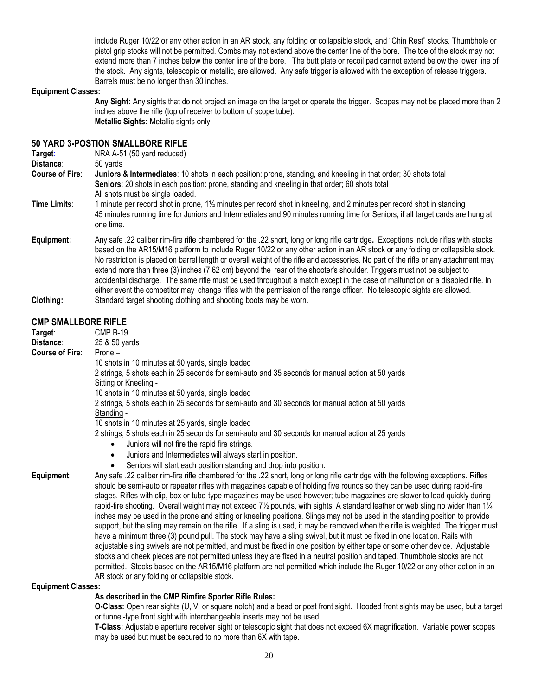include Ruger 10/22 or any other action in an AR stock, any folding or collapsible stock, and "Chin Rest" stocks. Thumbhole or pistol grip stocks will not be permitted. Combs may not extend above the center line of the bore. The toe of the stock may not extend more than 7 inches below the center line of the bore. The butt plate or recoil pad cannot extend below the lower line of the stock. Any sights, telescopic or metallic, are allowed. Any safe trigger is allowed with the exception of release triggers. Barrels must be no longer than 30 inches.

#### **Equipment Classes:**

**Any Sight:** Any sights that do not project an image on the target or operate the trigger. Scopes may not be placed more than 2 inches above the rifle (top of receiver to bottom of scope tube). **Metallic Sights:** Metallic sights only

#### **50 YARD 3-POSTION SMALL BORE RIFLE**

|                        | <u>JU TAND JE ODTION JINALLDONL INI LL</u>                                                                                                                                                                                                                                                                                                                                                                                                                                                                                                                                                                                                                                                                                                                                                             |
|------------------------|--------------------------------------------------------------------------------------------------------------------------------------------------------------------------------------------------------------------------------------------------------------------------------------------------------------------------------------------------------------------------------------------------------------------------------------------------------------------------------------------------------------------------------------------------------------------------------------------------------------------------------------------------------------------------------------------------------------------------------------------------------------------------------------------------------|
| Target:                | NRA A-51 (50 yard reduced)                                                                                                                                                                                                                                                                                                                                                                                                                                                                                                                                                                                                                                                                                                                                                                             |
| Distance:              | 50 yards                                                                                                                                                                                                                                                                                                                                                                                                                                                                                                                                                                                                                                                                                                                                                                                               |
| <b>Course of Fire:</b> | Juniors & Intermediates: 10 shots in each position: prone, standing, and kneeling in that order; 30 shots total                                                                                                                                                                                                                                                                                                                                                                                                                                                                                                                                                                                                                                                                                        |
|                        | Seniors: 20 shots in each position: prone, standing and kneeling in that order; 60 shots total                                                                                                                                                                                                                                                                                                                                                                                                                                                                                                                                                                                                                                                                                                         |
|                        | All shots must be single loaded.                                                                                                                                                                                                                                                                                                                                                                                                                                                                                                                                                                                                                                                                                                                                                                       |
| Time Limits:           | 1 minute per record shot in prone, 1½ minutes per record shot in kneeling, and 2 minutes per record shot in standing<br>45 minutes running time for Juniors and Intermediates and 90 minutes running time for Seniors, if all target cards are hung at<br>one time.                                                                                                                                                                                                                                                                                                                                                                                                                                                                                                                                    |
| Equipment:             | Any safe .22 caliber rim-fire rifle chambered for the .22 short, long or long rifle cartridge. Exceptions include rifles with stocks<br>based on the AR15/M16 platform to include Ruger 10/22 or any other action in an AR stock or any folding or collapsible stock.<br>No restriction is placed on barrel length or overall weight of the rifle and accessories. No part of the rifle or any attachment may<br>extend more than three (3) inches (7.62 cm) beyond the rear of the shooter's shoulder. Triggers must not be subject to<br>accidental discharge. The same rifle must be used throughout a match except in the case of malfunction or a disabled rifle. In<br>either event the competitor may change rifles with the permission of the range officer. No telescopic sights are allowed. |
| Clothing:              | Standard target shooting clothing and shooting boots may be worn.                                                                                                                                                                                                                                                                                                                                                                                                                                                                                                                                                                                                                                                                                                                                      |

#### **CMP SMALLBORE RIFLE**

| Target:                | <b>CMP B-19</b>                                                                                                                                     |
|------------------------|-----------------------------------------------------------------------------------------------------------------------------------------------------|
| Distance:              | 25 & 50 yards                                                                                                                                       |
| <b>Course of Fire:</b> | Prone $-$                                                                                                                                           |
|                        | 10 shots in 10 minutes at 50 yards, single loaded                                                                                                   |
|                        | 2 strings, 5 shots each in 25 seconds for semi-auto and 35 seconds for manual action at 50 yards                                                    |
|                        | Sitting or Kneeling -                                                                                                                               |
|                        | 10 shots in 10 minutes at 50 yards, single loaded                                                                                                   |
|                        | 2 strings, 5 shots each in 25 seconds for semi-auto and 30 seconds for manual action at 50 yards                                                    |
|                        | Standing -                                                                                                                                          |
|                        | 10 shots in 10 minutes at 25 yards, single loaded                                                                                                   |
|                        | 2 strings, 5 shots each in 25 seconds for semi-auto and 30 seconds for manual action at 25 yards                                                    |
|                        | Juniors will not fire the rapid fire strings.                                                                                                       |
|                        | Juniors and Intermediates will always start in position.                                                                                            |
|                        | Seniors will start each position standing and drop into position.                                                                                   |
| Equipment:             | Any safe .22 caliber rim-fire rifle chambered for the .22 short, long or long rifle cartridge with the following exceptions. Rifles                 |
|                        | should be semi-auto or repeater rifles with magazines capable of holding five rounds so they can be used during rapid-fire                          |
|                        | stages. Rifles with clip, box or tube-type magazines may be used however; tube magazines are slower to load quickly during                          |
|                        | rapid-fire shooting. Overall weight may not exceed $7\frac{1}{2}$ pounds, with sights. A standard leather or web sling no wider than $1\frac{1}{4}$ |
|                        | inches may be used in the prone and sitting or kneeling positions. Slings may not be used in the standing position to provide                       |
|                        | support, but the sling may remain on the rifle. If a sling is used, it may be removed when the rifle is weighted. The trigger must                  |
|                        | have a minimum three (3) pound pull. The stock may have a sling swivel, but it must be fixed in one location. Rails with                            |

adjustable sling swivels are not permitted, and must be fixed in one position by either tape or some other device. Adjustable stocks and cheek pieces are not permitted unless they are fixed in a neutral position and taped. Thumbhole stocks are not permitted. Stocks based on the AR15/M16 platform are not permitted which include the Ruger 10/22 or any other action in an AR stock or any folding or collapsible stock.

#### **Equipment Classes:**

#### **As described in the CMP Rimfire Sporter Rifle Rules:**

**O-Class:** Open rear sights (U, V, or square notch) and a bead or post front sight. Hooded front sights may be used, but a target or tunnel-type front sight with interchangeable inserts may not be used.

**T-Class:** Adjustable aperture receiver sight or telescopic sight that does not exceed 6X magnification. Variable power scopes may be used but must be secured to no more than 6X with tape.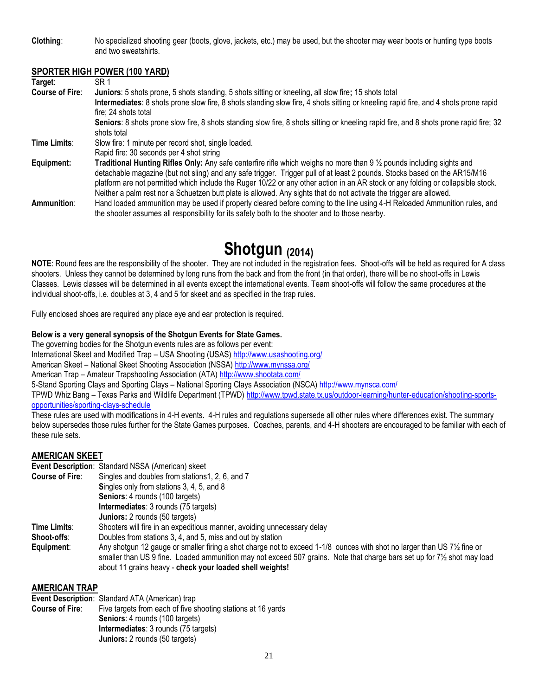**Clothing**: No specialized shooting gear (boots, glove, jackets, etc.) may be used, but the shooter may wear boots or hunting type boots and two sweatshirts.

#### **SPORTER HIGH POWER (100 YARD)**

| Target:                | SR <sub>1</sub>                                                                                                                                       |
|------------------------|-------------------------------------------------------------------------------------------------------------------------------------------------------|
| <b>Course of Fire:</b> | Juniors: 5 shots prone, 5 shots standing, 5 shots sitting or kneeling, all slow fire; 15 shots total                                                  |
|                        | Intermediates: 8 shots prone slow fire, 8 shots standing slow fire, 4 shots sitting or kneeling rapid fire, and 4 shots prone rapid                   |
|                        | fire: 24 shots total                                                                                                                                  |
|                        | Seniors: 8 shots prone slow fire, 8 shots standing slow fire, 8 shots sitting or kneeling rapid fire, and 8 shots prone rapid fire; 32<br>shots total |
| Time Limits:           | Slow fire: 1 minute per record shot, single loaded.                                                                                                   |
|                        | Rapid fire: 30 seconds per 4 shot string                                                                                                              |
| Equipment:             | <b>Traditional Hunting Rifles Only:</b> Any safe centerfire rifle which weighs no more than $9\frac{1}{2}$ pounds including sights and                |
|                        | detachable magazine (but not sling) and any safe trigger. Trigger pull of at least 2 pounds. Stocks based on the AR15/M16                             |
|                        | platform are not permitted which include the Ruger 10/22 or any other action in an AR stock or any folding or collapsible stock.                      |
|                        | Neither a palm rest nor a Schuetzen butt plate is allowed. Any sights that do not activate the trigger are allowed.                                   |
| Ammunition:            | Hand loaded ammunition may be used if properly cleared before coming to the line using 4-H Reloaded Ammunition rules, and                             |
|                        | the shooter assumes all responsibility for its safety both to the shooter and to those nearby.                                                        |

## **Shotgun (2014)**

**NOTE**: Round fees are the responsibility of the shooter. They are not included in the registration fees. Shoot-offs will be held as required for A class shooters. Unless they cannot be determined by long runs from the back and from the front (in that order), there will be no shoot-offs in Lewis Classes. Lewis classes will be determined in all events except the international events. Team shoot-offs will follow the same procedures at the individual shoot-offs, i.e. doubles at 3, 4 and 5 for skeet and as specified in the trap rules.

Fully enclosed shoes are required any place eye and ear protection is required.

#### **Below is a very general synopsis of the Shotgun Events for State Games.**

The governing bodies for the Shotgun events rules are as follows per event:

International Skeet and Modified Trap – USA Shooting (USAS[\) http://www.usashooting.org/](http://www.usashooting.org/) 

American Skeet – National Skeet Shooting Association (NSSA[\) http://www.mynssa.org/](http://www.mynssa.org/) 

American Trap – Amateur Trapshooting Association (ATA)<http://www.shootata.com/>

5-Stand Sporting Clays and Sporting Clays – National Sporting Clays Association (NSCA[\) http://www.mynsca.com/](http://www.mynsca.com/) 

TPWD Whiz Bang – Texas Parks and Wildlife Department (TPWD[\) http://www.tpwd.state.tx.us/outdoor-learning/hunter-education/shooting-sports](http://www.tpwd.state.tx.us/outdoor-learning/hunter-education/shooting-sports-opportunities/sporting-clays-schedule)[opportunities/sporting-clays-schedule](http://www.tpwd.state.tx.us/outdoor-learning/hunter-education/shooting-sports-opportunities/sporting-clays-schedule)

These rules are used with modifications in 4-H events. 4-H rules and regulations supersede all other rules where differences exist. The summary below supersedes those rules further for the State Games purposes. Coaches, parents, and 4-H shooters are encouraged to be familiar with each of these rule sets.

#### **AMERICAN SKEET**

**Event Description**: Standard NSSA (American) skeet

| <b>Course of Fire:</b> | Singles and doubles from stations1, 2, 6, and 7                                                                                                                                                                                                                                                                                           |
|------------------------|-------------------------------------------------------------------------------------------------------------------------------------------------------------------------------------------------------------------------------------------------------------------------------------------------------------------------------------------|
|                        | Singles only from stations 3, 4, 5, and 8                                                                                                                                                                                                                                                                                                 |
|                        | <b>Seniors: 4 rounds (100 targets)</b>                                                                                                                                                                                                                                                                                                    |
|                        | Intermediates: 3 rounds (75 targets)                                                                                                                                                                                                                                                                                                      |
|                        | <b>Juniors:</b> 2 rounds (50 targets)                                                                                                                                                                                                                                                                                                     |
| Time Limits:           | Shooters will fire in an expeditious manner, avoiding unnecessary delay                                                                                                                                                                                                                                                                   |
| Shoot-offs:            | Doubles from stations 3, 4, and 5, miss and out by station                                                                                                                                                                                                                                                                                |
| Equipment:             | Any shotgun 12 gauge or smaller firing a shot charge not to exceed 1-1/8 ounces with shot no larger than US 71/2 fine or<br>smaller than US 9 fine. Loaded ammunition may not exceed 507 grains. Note that charge bars set up for 7 <sup>1</sup> / <sub>2</sub> shot may load<br>about 11 grains heavy - check your loaded shell weights! |

#### **AMERICAN TRAP**

**Event Description: Standard ATA (American) trap Course of Fire:** Five targets from each of five s Five targets from each of five shooting stations at 16 yards **Seniors**: 4 rounds (100 targets) **Intermediates**: 3 rounds (75 targets) **Juniors:** 2 rounds (50 targets)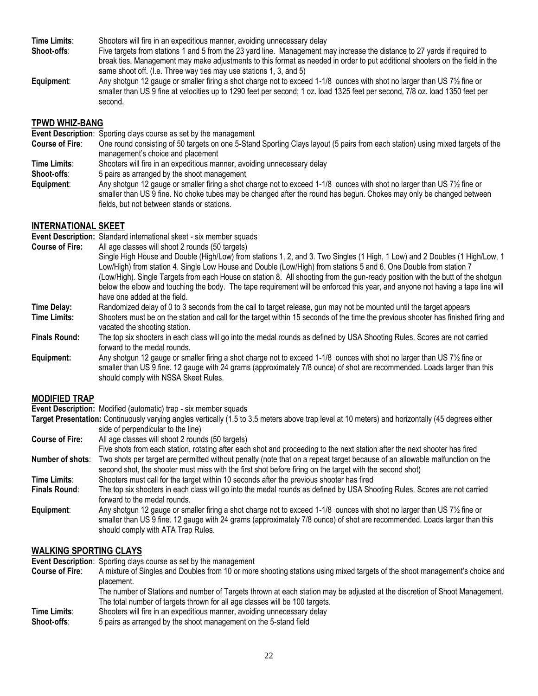**Time Limits**: Shooters will fire in an expeditious manner, avoiding unnecessary delay

- **Shoot-offs**: Five targets from stations 1 and 5 from the 23 yard line. Management may increase the distance to 27 yards if required to break ties. Management may make adjustments to this format as needed in order to put additional shooters on the field in the same shoot off. (I.e. Three way ties may use stations 1, 3, and 5)
- **Equipment**: Any shotgun 12 gauge or smaller firing a shot charge not to exceed 1-1/8 ounces with shot no larger than US 7½ fine or smaller than US 9 fine at velocities up to 1290 feet per second; 1 oz. load 1325 feet per second, 7/8 oz. load 1350 feet per second.

#### **TPWD WHIZ-BANG**

**Event Description**: Sporting clays course as set by the management

- **Course of Fire**: One round consisting of 50 targets on one 5-Stand Sporting Clays layout (5 pairs from each station) using mixed targets of the management's choice and placement
- **Time Limits**: Shooters will fire in an expeditious manner, avoiding unnecessary delay
- **Shoot-offs:** 5 pairs as arranged by the shoot management
- **Equipment**: Any shotgun 12 gauge or smaller firing a shot charge not to exceed 1-1/8 ounces with shot no larger than US 7½ fine or smaller than US 9 fine. No choke tubes may be changed after the round has begun. Chokes may only be changed between fields, but not between stands or stations.

#### **INTERNATIONAL SKEET**

**Event Description:** Standard international skeet - six member squads

- **Course of Fire:** All age classes will shoot 2 rounds (50 targets) Single High House and Double (High/Low) from stations 1, 2, and 3. Two Singles (1 High, 1 Low) and 2 Doubles (1 High/Low, 1 Low/High) from station 4. Single Low House and Double (Low/High) from stations 5 and 6. One Double from station 7 (Low/High). Single Targets from each House on station 8. All shooting from the gun-ready position with the butt of the shotgun below the elbow and touching the body. The tape requirement will be enforced this year, and anyone not having a tape line will have one added at the field.
- **Time Delay:** Randomized delay of 0 to 3 seconds from the call to target release, gun may not be mounted until the target appears<br>**Time Limits:** Shooters must be on the station and call for the target within 15 seconds of **Time Limits:** Shooters must be on the station and call for the target within 15 seconds of the time the previous shooter has finished firing and vacated the shooting station.
- **Finals Round:** The top six shooters in each class will go into the medal rounds as defined by USA Shooting Rules. Scores are not carried forward to the medal rounds.
- **Equipment:** Any shotgun 12 gauge or smaller firing a shot charge not to exceed 1-1/8 ounces with shot no larger than US 7½ fine or smaller than US 9 fine. 12 gauge with 24 grams (approximately 7/8 ounce) of shot are recommended. Loads larger than this should comply with NSSA Skeet Rules.

#### **MODIFIED TRAP**

**Event Description:** Modified (automatic) trap - six member squads

- **Target Presentation:** Continuously varying angles vertically (1.5 to 3.5 meters above trap level at 10 meters) and horizontally (45 degrees either side of perpendicular to the line)
- **Course of Fire:** All age classes will shoot 2 rounds (50 targets)
- Five shots from each station, rotating after each shot and proceeding to the next station after the next shooter has fired **Number of shots**: Two shots per target are permitted without penalty (note that on a repeat target because of an allowable malfunction on the second shot, the shooter must miss with the first shot before firing on the target with the second shot)
- **Time Limits**: Shooters must call for the target within 10 seconds after the previous shooter has fired
- **Finals Round**: The top six shooters in each class will go into the medal rounds as defined by USA Shooting Rules. Scores are not carried forward to the medal rounds.
- **Equipment**: Any shotgun 12 gauge or smaller firing a shot charge not to exceed 1-1/8 ounces with shot no larger than US 7½ fine or smaller than US 9 fine. 12 gauge with 24 grams (approximately 7/8 ounce) of shot are recommended. Loads larger than this should comply with ATA Trap Rules.

#### **WALKING SPORTING CLAYS**

**Event Description**: Sporting clays course as set by the management

- **Course of Fire**: A mixture of Singles and Doubles from 10 or more shooting stations using mixed targets of the shoot management's choice and placement.
	- The number of Stations and number of Targets thrown at each station may be adjusted at the discretion of Shoot Management. The total number of targets thrown for all age classes will be 100 targets.
- **Time Limits**: Shooters will fire in an expeditious manner, avoiding unnecessary delay
- **Shoot-offs**: 5 pairs as arranged by the shoot management on the 5-stand field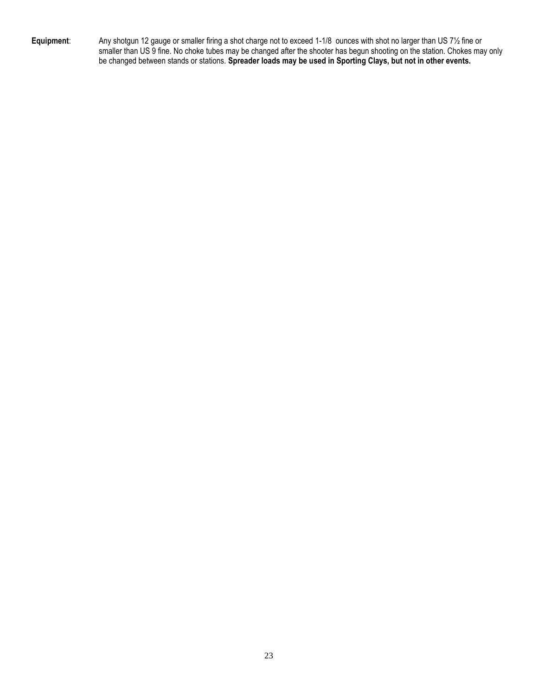**Equipment**: Any shotgun 12 gauge or smaller firing a shot charge not to exceed 1-1/8 ounces with shot no larger than US 7½ fine or smaller than US 9 fine. No choke tubes may be changed after the shooter has begun shooting on the station. Chokes may only be changed between stands or stations. **Spreader loads may be used in Sporting Clays, but not in other events.**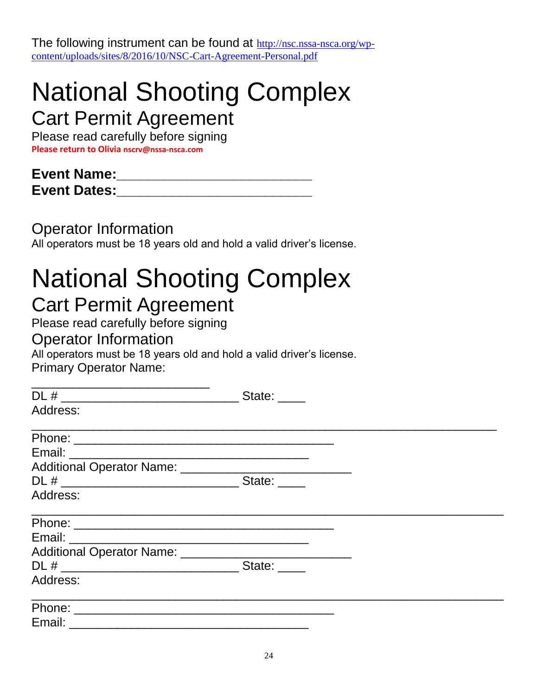The following instrument can be found at [http://nsc.nssa-nsca.org/wp](https://urldefense.proofpoint.com/v2/url?u=http-3A__nsc.nssa-2Dnsca.org_wp-2Dcontent_uploads_sites_8_2016_10_NSC-2DCart-2DAgreement-2DPersonal.pdf&d=DwMFAg&c=r_tSStIHV2ie60z4DgB-pQ&r=38-4sNyK9JBC24txHXWxCN6h5dMDfglN_J5Y3YfjZmc&m=0_ychQD5PGrNYq4QV5CHu35WxevRLMMK9VtSFLivY6M&s=D5V_-Co3kFOWspbMTEAGjuOWJ5LOj1mwfDSSjVTloeA&e=)[content/uploads/sites/8/2016/10/NSC-Cart-Agreement-Personal.pdf](https://urldefense.proofpoint.com/v2/url?u=http-3A__nsc.nssa-2Dnsca.org_wp-2Dcontent_uploads_sites_8_2016_10_NSC-2DCart-2DAgreement-2DPersonal.pdf&d=DwMFAg&c=r_tSStIHV2ie60z4DgB-pQ&r=38-4sNyK9JBC24txHXWxCN6h5dMDfglN_J5Y3YfjZmc&m=0_ychQD5PGrNYq4QV5CHu35WxevRLMMK9VtSFLivY6M&s=D5V_-Co3kFOWspbMTEAGjuOWJ5LOj1mwfDSSjVTloeA&e=)

## National Shooting Complex

Cart Permit Agreement

Please read carefully before signing **Please return to Olivia nscrv@nssa-nsca.com** 

## **Event Name:\_\_\_\_\_\_\_\_\_\_\_\_\_\_\_\_\_\_\_\_\_\_\_\_\_ Event Dates:\_\_\_\_\_\_\_\_\_\_\_\_\_\_\_\_\_\_\_\_\_\_\_\_\_**

Operator Information

All operators must be 18 years old and hold a valid driver's license.

# National Shooting Complex

## Cart Permit Agreement

Please read carefully before signing

## Operator Information

All operators must be 18 years old and hold a valid driver's license. Primary Operator Name:

| DL # ________________________________ | State: ____ |  |
|---------------------------------------|-------------|--|
| Address:                              |             |  |
|                                       |             |  |
|                                       |             |  |
|                                       |             |  |
|                                       | State:      |  |
| Address:                              |             |  |
|                                       |             |  |
|                                       |             |  |
|                                       |             |  |
|                                       | State:      |  |
| Address:                              |             |  |
|                                       |             |  |
| Email: ___________                    |             |  |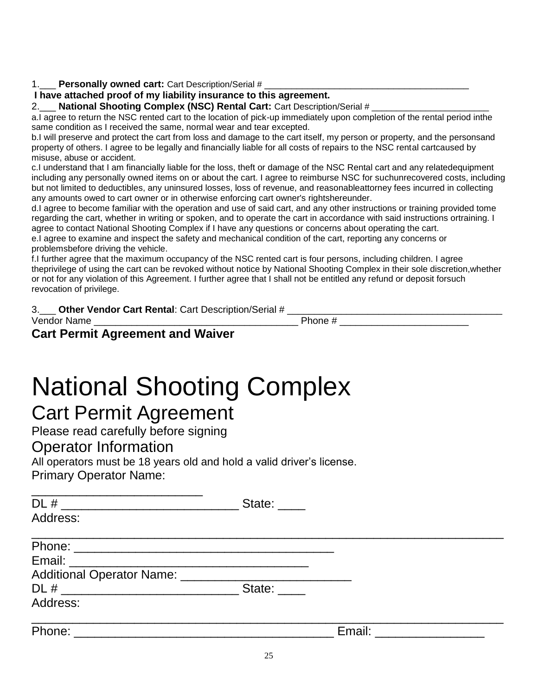#### 1.\_\_\_\_ Personally owned cart: Cart Description/Serial #

#### **I have attached proof of my liability insurance to this agreement.**

2.\_\_\_ **National Shooting Complex (NSC) Rental Cart:** Cart Description/Serial #

a.I agree to return the NSC rented cart to the location of pick-up immediately upon completion of the rental period inthe same condition as I received the same, normal wear and tear excepted.

b.I will preserve and protect the cart from loss and damage to the cart itself, my person or property, and the personsand property of others. I agree to be legally and financially liable for all costs of repairs to the NSC rental cartcaused by misuse, abuse or accident.

c.I understand that I am financially liable for the loss, theft or damage of the NSC Rental cart and any relatedequipment including any personally owned items on or about the cart. I agree to reimburse NSC for suchunrecovered costs, including but not limited to deductibles, any uninsured losses, loss of revenue, and reasonableattorney fees incurred in collecting any amounts owed to cart owner or in otherwise enforcing cart owner's rightshereunder.

d.I agree to become familiar with the operation and use of said cart, and any other instructions or training provided tome regarding the cart, whether in writing or spoken, and to operate the cart in accordance with said instructions ortraining. I agree to contact National Shooting Complex if I have any questions or concerns about operating the cart.

e.I agree to examine and inspect the safety and mechanical condition of the cart, reporting any concerns or problemsbefore driving the vehicle.

f.I further agree that the maximum occupancy of the NSC rented cart is four persons, including children. I agree theprivilege of using the cart can be revoked without notice by National Shooting Complex in their sole discretion,whether or not for any violation of this Agreement. I further agree that I shall not be entitled any refund or deposit forsuch revocation of privilege.

| <b>Other Vendor Cart Rental: Cart Description/Serial #</b> |         |
|------------------------------------------------------------|---------|
| Vendor Name                                                | Phone # |

### **[Cart Permit Agreement and Waiver](http://nsc.nssa-nsca.org/wp-content/uploads/sites/8/2016/10/NSC-Cart-Agreement-Personal.pdf#page=1)**

## National Shooting Complex

## Cart Permit Agreement

Please read carefully before signing

#### Operator Information

All operators must be 18 years old and hold a valid driver's license. Primary Operator Name:

| DL # ________________________<br>Address:                                                                     | State: ____  |               |
|---------------------------------------------------------------------------------------------------------------|--------------|---------------|
|                                                                                                               |              |               |
|                                                                                                               |              |               |
| Additional Operator Name: 2008. 2009. 2009. 2009. 2012. 2014. 2015. 2016. 2017. 2018. 2019. 2019. 2017. 2018. |              |               |
|                                                                                                               | State: _____ |               |
| Address:                                                                                                      |              |               |
| Phone:                                                                                                        |              | Email: Email: |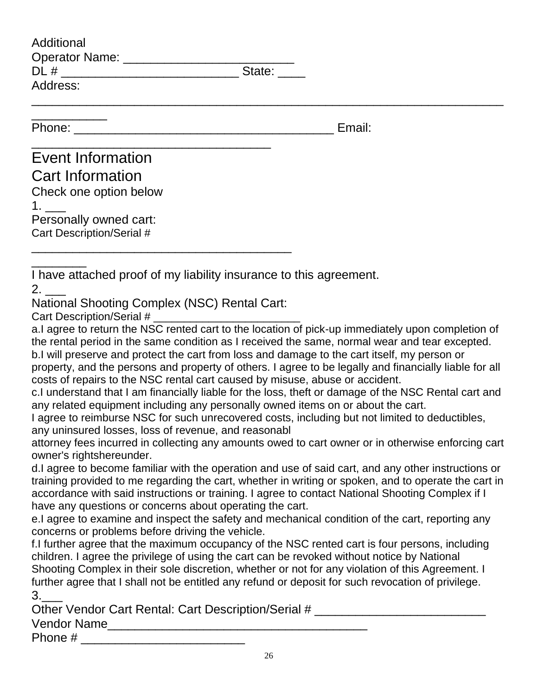| Additional                                                                                                                                                                                                                                                                                                                                                                                                                                                                                                                                                                                                                                                                                                                                                                                                                                          |
|-----------------------------------------------------------------------------------------------------------------------------------------------------------------------------------------------------------------------------------------------------------------------------------------------------------------------------------------------------------------------------------------------------------------------------------------------------------------------------------------------------------------------------------------------------------------------------------------------------------------------------------------------------------------------------------------------------------------------------------------------------------------------------------------------------------------------------------------------------|
|                                                                                                                                                                                                                                                                                                                                                                                                                                                                                                                                                                                                                                                                                                                                                                                                                                                     |
| Address:                                                                                                                                                                                                                                                                                                                                                                                                                                                                                                                                                                                                                                                                                                                                                                                                                                            |
|                                                                                                                                                                                                                                                                                                                                                                                                                                                                                                                                                                                                                                                                                                                                                                                                                                                     |
| Email:                                                                                                                                                                                                                                                                                                                                                                                                                                                                                                                                                                                                                                                                                                                                                                                                                                              |
| <b>Event Information</b>                                                                                                                                                                                                                                                                                                                                                                                                                                                                                                                                                                                                                                                                                                                                                                                                                            |
| <b>Cart Information</b>                                                                                                                                                                                                                                                                                                                                                                                                                                                                                                                                                                                                                                                                                                                                                                                                                             |
| Check one option below                                                                                                                                                                                                                                                                                                                                                                                                                                                                                                                                                                                                                                                                                                                                                                                                                              |
| 1. $\qquad \qquad$                                                                                                                                                                                                                                                                                                                                                                                                                                                                                                                                                                                                                                                                                                                                                                                                                                  |
| Personally owned cart:                                                                                                                                                                                                                                                                                                                                                                                                                                                                                                                                                                                                                                                                                                                                                                                                                              |
| Cart Description/Serial #                                                                                                                                                                                                                                                                                                                                                                                                                                                                                                                                                                                                                                                                                                                                                                                                                           |
|                                                                                                                                                                                                                                                                                                                                                                                                                                                                                                                                                                                                                                                                                                                                                                                                                                                     |
| I have attached proof of my liability insurance to this agreement.                                                                                                                                                                                                                                                                                                                                                                                                                                                                                                                                                                                                                                                                                                                                                                                  |
| National Shooting Complex (NSC) Rental Cart:                                                                                                                                                                                                                                                                                                                                                                                                                                                                                                                                                                                                                                                                                                                                                                                                        |
| Cart Description/Serial #                                                                                                                                                                                                                                                                                                                                                                                                                                                                                                                                                                                                                                                                                                                                                                                                                           |
| a.I agree to return the NSC rented cart to the location of pick-up immediately upon completion of<br>the rental period in the same condition as I received the same, normal wear and tear excepted.<br>b.I will preserve and protect the cart from loss and damage to the cart itself, my person or<br>property, and the persons and property of others. I agree to be legally and financially liable for all<br>costs of repairs to the NSC rental cart caused by misuse, abuse or accident.<br>c.I understand that I am financially liable for the loss, theft or damage of the NSC Rental cart and<br>any related equipment including any personally owned items on or about the cart.<br>I agree to reimburse NSC for such unrecovered costs, including but not limited to deductibles,<br>any uninsured losses, loss of revenue, and reasonabl |
| attorney fees incurred in collecting any amounts owed to cart owner or in otherwise enforcing cart                                                                                                                                                                                                                                                                                                                                                                                                                                                                                                                                                                                                                                                                                                                                                  |
| owner's rightshereunder.<br>d.I agree to become familiar with the operation and use of said cart, and any other instructions or<br>training provided to me regarding the cart, whether in writing or spoken, and to operate the cart in<br>accordance with said instructions or training. I agree to contact National Shooting Complex if I<br>have any questions or concerns about operating the cart.                                                                                                                                                                                                                                                                                                                                                                                                                                             |
| e.I agree to examine and inspect the safety and mechanical condition of the cart, reporting any<br>concerns or problems before driving the vehicle.                                                                                                                                                                                                                                                                                                                                                                                                                                                                                                                                                                                                                                                                                                 |
| f.I further agree that the maximum occupancy of the NSC rented cart is four persons, including<br>children. I agree the privilege of using the cart can be revoked without notice by National<br>Shooting Complex in their sole discretion, whether or not for any violation of this Agreement. I<br>further agree that I shall not be entitled any refund or deposit for such revocation of privilege.<br>3.                                                                                                                                                                                                                                                                                                                                                                                                                                       |
| Other Vendor Cart Rental: Cart Description/Serial # ____________________________                                                                                                                                                                                                                                                                                                                                                                                                                                                                                                                                                                                                                                                                                                                                                                    |
|                                                                                                                                                                                                                                                                                                                                                                                                                                                                                                                                                                                                                                                                                                                                                                                                                                                     |
| Phone #<br><u> 1990 - Johann John Stoff, deutscher Stoff, der Stoff, der Stoff, der Stoff, der Stoff, der Stoff, der Stoff, </u>                                                                                                                                                                                                                                                                                                                                                                                                                                                                                                                                                                                                                                                                                                                    |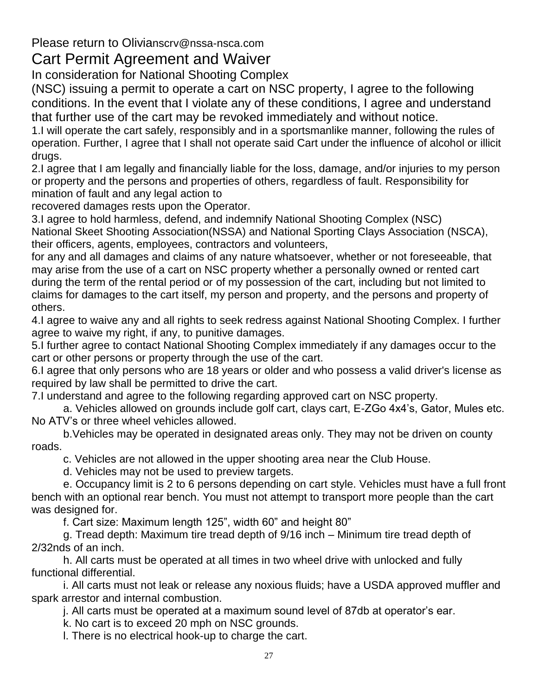Please return to Olivianscrv@nssa-nsca.com

### Cart Permit Agreement and Waiver

In consideration for National Shooting Complex

(NSC) issuing a permit to operate a cart on NSC property, I agree to the following conditions. In the event that I violate any of these conditions, I agree and understand that further use of the cart may be revoked immediately and without notice.

1.I will operate the cart safely, responsibly and in a sportsmanlike manner, following the rules of operation. Further, I agree that I shall not operate said Cart under the influence of alcohol or illicit drugs.

2.I agree that I am legally and financially liable for the loss, damage, and/or injuries to my person or property and the persons and properties of others, regardless of fault. Responsibility for mination of fault and any legal action to

recovered damages rests upon the Operator.

3.I agree to hold harmless, defend, and indemnify National Shooting Complex (NSC) National Skeet Shooting Association(NSSA) and National Sporting Clays Association (NSCA), their officers, agents, employees, contractors and volunteers,

for any and all damages and claims of any nature whatsoever, whether or not foreseeable, that may arise from the use of a cart on NSC property whether a personally owned or rented cart during the term of the rental period or of my possession of the cart, including but not limited to claims for damages to the cart itself, my person and property, and the persons and property of others.

4.I agree to waive any and all rights to seek redress against National Shooting Complex. I further agree to waive my right, if any, to punitive damages.

5.I further agree to contact National Shooting Complex immediately if any damages occur to the cart or other persons or property through the use of the cart.

6.I agree that only persons who are 18 years or older and who possess a valid driver's license as required by law shall be permitted to drive the cart.

7.I understand and agree to the following regarding approved cart on NSC property.

a. Vehicles allowed on grounds include golf cart, clays cart, E-ZGo 4x4's, Gator, Mules etc. No ATV's or three wheel vehicles allowed.

b.Vehicles may be operated in designated areas only. They may not be driven on county roads.

c. Vehicles are not allowed in the upper shooting area near the Club House.

d. Vehicles may not be used to preview targets.

e. Occupancy limit is 2 to 6 persons depending on cart style. Vehicles must have a full front bench with an optional rear bench. You must not attempt to transport more people than the cart was designed for.

f. Cart size: Maximum length 125", width 60" and height 80"

g. Tread depth: Maximum tire tread depth of 9/16 inch – Minimum tire tread depth of 2/32nds of an inch.

h. All carts must be operated at all times in two wheel drive with unlocked and fully functional differential.

i. All carts must not leak or release any noxious fluids; have a USDA approved muffler and spark arrestor and internal combustion.

j. All carts must be operated at a maximum sound level of 87db at operator's ear.

k. No cart is to exceed 20 mph on NSC grounds.

l. There is no electrical hook-up to charge the cart.